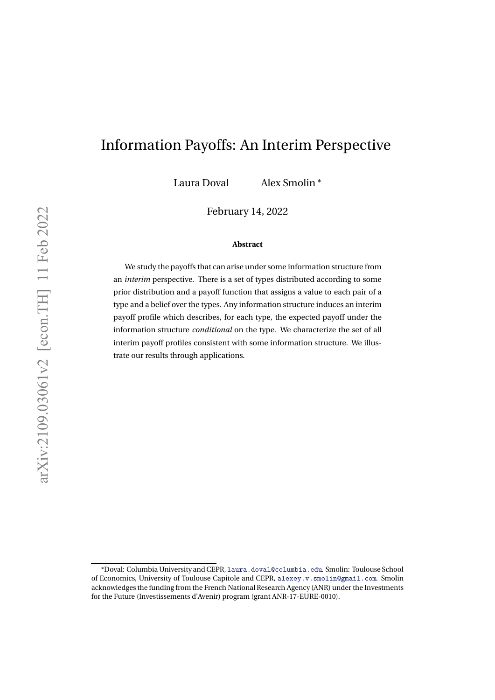# Information Payoffs: An Interim Perspective

Laura Doval Alex Smolin <sup>∗</sup>

February 14, 2022

#### **Abstract**

We study the payoffs that can arise under some information structure from an *interim* perspective. There is a set of types distributed according to some prior distribution and a payoff function that assigns a value to each pair of a type and a belief over the types. Any information structure induces an interim payoff profile which describes, for each type, the expected payoff under the information structure *conditional* on the type. We characterize the set of all interim payoff profiles consistent with some information structure. We illustrate our results through applications.

<sup>∗</sup>Doval: Columbia University and CEPR, laura.doval@columbia.edu. Smolin: Toulouse School of Economics, University of Toulouse Capitole and CEPR, alexey.v.smolin@gmail.com. Smolin acknowledges the funding from the French National Research Agency (ANR) under the Investments for the Future (Investissements d'Avenir) program (grant ANR-17-EURE-0010).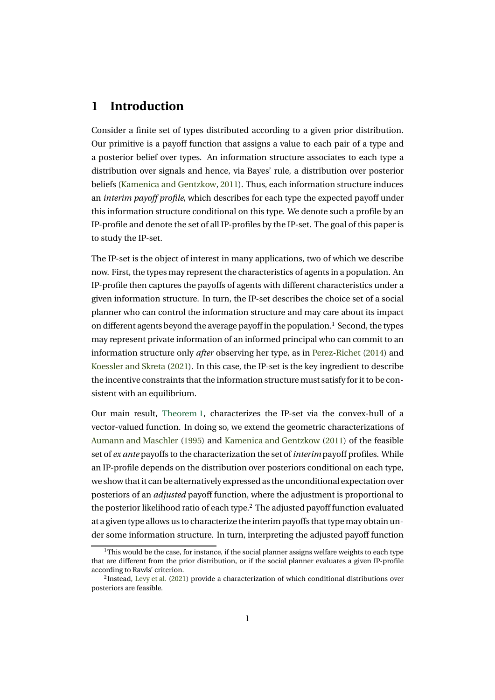## **1 Introduction**

Consider a finite set of types distributed according to a given prior distribution. Our primitive is a payoff function that assigns a value to each pair of a type and a posterior belief over types. An information structure associates to each type a distribution over signals and hence, via Bayes' rule, a distribution over posterior beliefs (Kamenica and Gentzkow, 2011). Thus, each information structure induces an *interim payoff profile*, which describes for each type the expected payoff under this information structure conditional on this type. We denote such a profile by an IP-profile and denote the set of all IP-profiles by the IP-set. The goal of this paper is to study the IP-set.

The IP-set is the object of interest in many applications, two of which we describe now. First, the types may represent the characteristics of agents in a population. An IP-profile then captures the payoffs of agents with different characteristics under a given information structure. In turn, the IP-set describes the choice set of a social planner who can control the information structure and may care about its impact on different agents beyond the average payoff in the population.<sup>1</sup> Second, the types may represent private information of an informed principal who can commit to an information structure only *after* observing her type, as in Perez-Richet (2014) and Koessler and Skreta (2021). In this case, the IP-set is the key ingredient to describe the incentive constraints that the information structure must satisfy for it to be consistent with an equilibrium.

Our main result, Theorem 1, characterizes the IP-set via the convex-hull of a vector-valued function. In doing so, we extend the geometric characterizations of Aumann and Maschler (1995) and Kamenica and Gentzkow (2011) of the feasible set of *ex ante* payoffs to the characterization the set of *interim* payoff profiles. While an IP-profile depends on the distribution over posteriors conditional on each type, we show that it can be alternatively expressed as the unconditional expectation over posteriors of an *adjusted* payoff function, where the adjustment is proportional to the posterior likelihood ratio of each type.2 The adjusted payoff function evaluated at a given type allows us to characterize the interim payoffs that type may obtain under some information structure. In turn, interpreting the adjusted payoff function

 $1$ This would be the case, for instance, if the social planner assigns welfare weights to each type that are different from the prior distribution, or if the social planner evaluates a given IP-profile according to Rawls' criterion.

 $<sup>2</sup>$ Instead, Levy et al. (2021) provide a characterization of which conditional distributions over</sup> posteriors are feasible.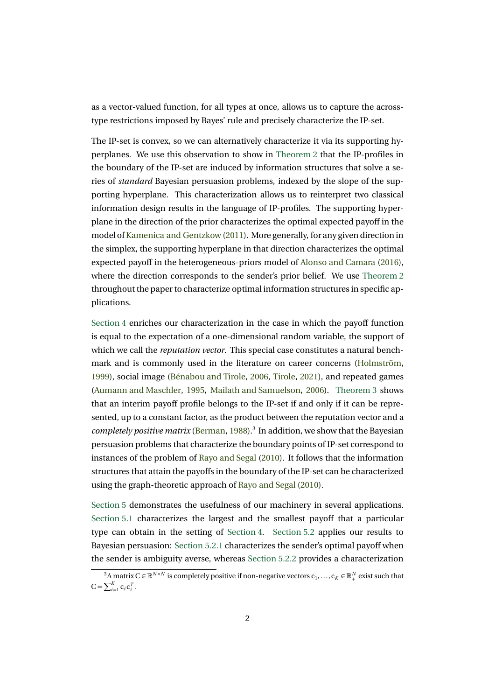as a vector-valued function, for all types at once, allows us to capture the acrosstype restrictions imposed by Bayes' rule and precisely characterize the IP-set.

The IP-set is convex, so we can alternatively characterize it via its supporting hyperplanes. We use this observation to show in Theorem 2 that the IP-profiles in the boundary of the IP-set are induced by information structures that solve a series of *standard* Bayesian persuasion problems, indexed by the slope of the supporting hyperplane. This characterization allows us to reinterpret two classical information design results in the language of IP-profiles. The supporting hyperplane in the direction of the prior characterizes the optimal expected payoff in the model ofKamenica and Gentzkow (2011). More generally, for any given direction in the simplex, the supporting hyperplane in that direction characterizes the optimal expected payoff in the heterogeneous-priors model of Alonso and Camara (2016), where the direction corresponds to the sender's prior belief. We use Theorem 2 throughout the paper to characterize optimal information structures in specific applications.

Section 4 enriches our characterization in the case in which the payoff function is equal to the expectation of a one-dimensional random variable, the support of which we call the *reputation vector*. This special case constitutes a natural benchmark and is commonly used in the literature on career concerns (Holmström, 1999), social image (Bénabou and Tirole, 2006, Tirole, 2021), and repeated games (Aumann and Maschler, 1995, Mailath and Samuelson, 2006). Theorem 3 shows that an interim payoff profile belongs to the IP-set if and only if it can be represented, up to a constant factor, as the product between the reputation vector and a *completely positive matrix* (Berman, 1988).<sup>3</sup> In addition, we show that the Bayesian persuasion problems that characterize the boundary points of IP-set correspond to instances of the problem of Rayo and Segal (2010). It follows that the information structures that attain the payoffs in the boundary of the IP-set can be characterized using the graph-theoretic approach of Rayo and Segal (2010).

Section 5 demonstrates the usefulness of our machinery in several applications. Section 5.1 characterizes the largest and the smallest payoff that a particular type can obtain in the setting of Section 4. Section 5.2 applies our results to Bayesian persuasion: Section 5.2.1 characterizes the sender's optimal payoff when the sender is ambiguity averse, whereas Section 5.2.2 provides a characterization

<sup>&</sup>lt;sup>3</sup>A matrix C ∈  $\mathbb{R}^{N \times N}$  is completely positive if non-negative vectors  $c_1,...,c_K \in \mathbb{R}^N_+$  exist such that  $C = \sum_{i=1}^K c_i c_i^T$ .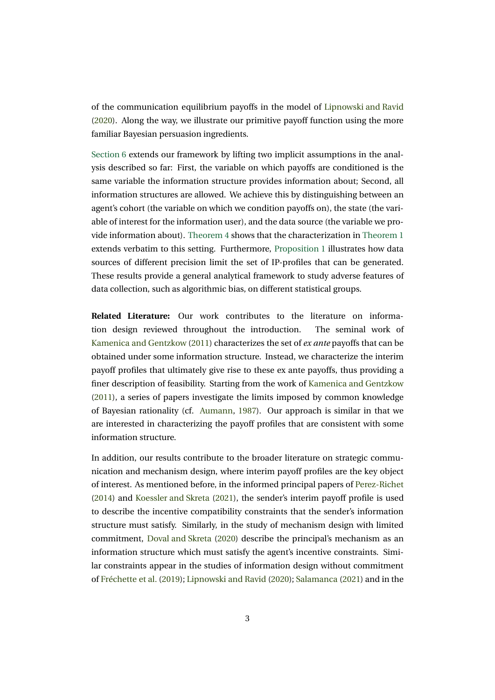of the communication equilibrium payoffs in the model of Lipnowski and Ravid (2020). Along the way, we illustrate our primitive payoff function using the more familiar Bayesian persuasion ingredients.

Section 6 extends our framework by lifting two implicit assumptions in the analysis described so far: First, the variable on which payoffs are conditioned is the same variable the information structure provides information about; Second, all information structures are allowed. We achieve this by distinguishing between an agent's cohort (the variable on which we condition payoffs on), the state (the variable of interest for the information user), and the data source (the variable we provide information about). Theorem 4 shows that the characterization in Theorem 1 extends verbatim to this setting. Furthermore, Proposition 1 illustrates how data sources of different precision limit the set of IP-profiles that can be generated. These results provide a general analytical framework to study adverse features of data collection, such as algorithmic bias, on different statistical groups.

**Related Literature:** Our work contributes to the literature on information design reviewed throughout the introduction. The seminal work of Kamenica and Gentzkow (2011) characterizes the set of *ex ante* payoffs that can be obtained under some information structure. Instead, we characterize the interim payoff profiles that ultimately give rise to these ex ante payoffs, thus providing a finer description of feasibility. Starting from the work of Kamenica and Gentzkow (2011), a series of papers investigate the limits imposed by common knowledge of Bayesian rationality (cf. Aumann, 1987). Our approach is similar in that we are interested in characterizing the payoff profiles that are consistent with some information structure.

In addition, our results contribute to the broader literature on strategic communication and mechanism design, where interim payoff profiles are the key object of interest. As mentioned before, in the informed principal papers of Perez-Richet (2014) and Koessler and Skreta (2021), the sender's interim payoff profile is used to describe the incentive compatibility constraints that the sender's information structure must satisfy. Similarly, in the study of mechanism design with limited commitment, Doval and Skreta (2020) describe the principal's mechanism as an information structure which must satisfy the agent's incentive constraints. Similar constraints appear in the studies of information design without commitment of Fréchette et al. (2019); Lipnowski and Ravid (2020); Salamanca (2021) and in the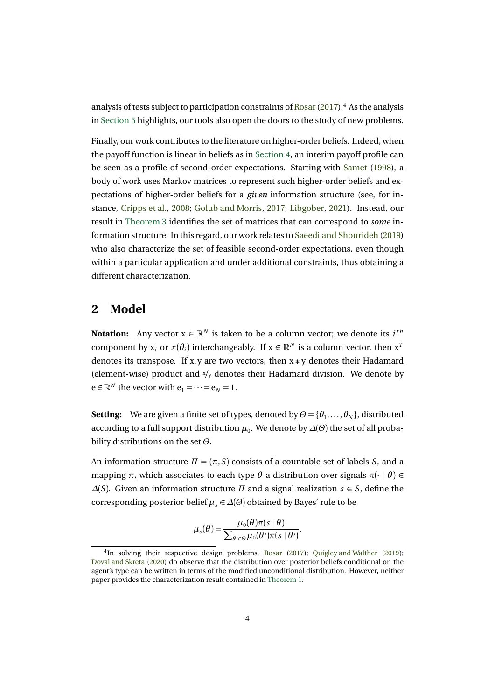analysis of tests subject to participation constraints of Rosar(2017).<sup>4</sup> As the analysis in Section 5 highlights, our tools also open the doors to the study of new problems.

Finally, our work contributes to the literature on higher-order beliefs. Indeed, when the payoff function is linear in beliefs as in Section 4, an interim payoff profile can be seen as a profile of second-order expectations. Starting with Samet (1998), a body of work uses Markov matrices to represent such higher-order beliefs and expectations of higher-order beliefs for a *given* information structure (see, for instance, Cripps et al., 2008; Golub and Morris, 2017; Libgober, 2021). Instead, our result in Theorem 3 identifies the set of matrices that can correspond to *some* information structure. In this regard, our work relates to Saeedi and Shourideh (2019) who also characterize the set of feasible second-order expectations, even though within a particular application and under additional constraints, thus obtaining a different characterization.

### **2 Model**

**Notation:** Any vector  $x \in \mathbb{R}^N$  is taken to be a column vector; we denote its  $i^{th}$ component by x<sub>i</sub> or  $x(\theta_i)$  interchangeably. If  $x \in \mathbb{R}^N$  is a column vector, then  $x^T$ denotes its transpose. If x, y are two vectors, then  $x * y$  denotes their Hadamard (element-wise) product and <sup>x</sup>*/*<sup>y</sup> denotes their Hadamard division. We denote by  $e \in \mathbb{R}^N$  the vector with  $e_1 = \cdots = e_N = 1$ .

**Setting:** We are given a finite set of types, denoted by  $\Theta = {\theta_1, \dots, \theta_N}$ , distributed according to a full support distribution *µ*0. We denote by *∆*(*Θ*) the set of all probability distributions on the set *Θ*.

An information structure *Π* = (*π*,*S*) consists of a countable set of labels *S*, and a mapping  $\pi$ , which associates to each type  $\theta$  a distribution over signals  $\pi(\cdot | \theta) \in$ *∆*(*S*). Given an information structure *Π* and a signal realization *s* ∈ *S*, define the corresponding posterior belief  $\mu_s \in \Delta(\Theta)$  obtained by Bayes' rule to be

$$
\mu_s(\theta) = \frac{\mu_0(\theta)\pi(s \mid \theta)}{\sum_{\theta' \in \Theta} \mu_0(\theta')\pi(s \mid \theta')}.
$$

 $4$ In solving their respective design problems, Rosar (2017); Ouigley and Walther (2019); Doval and Skreta (2020) do observe that the distribution over posterior beliefs conditional on the agent's type can be written in terms of the modified unconditional distribution. However, neither paper provides the characterization result contained in Theorem 1.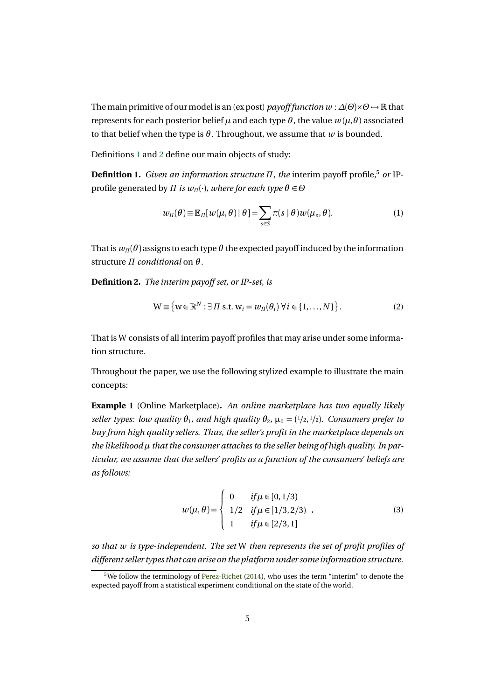The main primitive of our model is an (ex post) *payoff function w* :  $\Delta(\Theta) \times \Theta \rightarrow \mathbb{R}$  that represents for each posterior belief *µ* and each type *θ* , the value *w*(*µ*,*θ* ) associated to that belief when the type is  $\theta$ . Throughout, we assume that  $w$  is bounded.

Definitions 1 and 2 define our main objects of study:

**Definition 1.** *Given an information structure Π, the* interim payoff profile*,* <sup>5</sup> *or* IPprofile generated by *Π is*  $w_n(\cdot)$ *, where for each type*  $\theta \in \Theta$ 

$$
w_{\Pi}(\theta) \equiv \mathbb{E}_{\Pi}[w(\mu,\theta) | \theta] = \sum_{s \in S} \pi(s | \theta) w(\mu_s, \theta).
$$
 (1)

That is  $w_{\Pi}(\theta)$  assigns to each type  $\theta$  the expected payoff induced by the information structure *Π conditional* on *θ* .

**Definition 2.** *The interim payoff set, or IP-set, is*

$$
\mathbf{W} \equiv \left\{ \mathbf{w} \in \mathbb{R}^N : \exists \Pi \text{ s.t. } \mathbf{w}_i = w_{\Pi}(\theta_i) \ \forall i \in \{1, ..., N\} \right\}. \tag{2}
$$

That is W consists of all interim payoff profiles that may arise under some information structure.

Throughout the paper, we use the following stylized example to illustrate the main concepts:

**Example 1** (Online Marketplace)**.** *An online marketplace has two equally likely seller types: low quality*  $\theta_1$ *, and high quality*  $\theta_2$ *,*  $\mu_0 = \frac{1}{2}$ ,  $\frac{1}{2}$ *). Consumers prefer to buy from high quality sellers. Thus, the seller's profit in the marketplace depends on the likelihood µ that the consumer attaches to the seller being of high quality. In particular, we assume that the sellers' profits as a function of the consumers' beliefs are as follows:*

$$
w(\mu, \theta) = \begin{cases} 0 & \text{if } \mu \in [0, 1/3) \\ 1/2 & \text{if } \mu \in [1/3, 2/3) \\ 1 & \text{if } \mu \in [2/3, 1] \end{cases}
$$
 (3)

*so that w is type-independent. The set* W *then represents the set of profit profiles of different seller types that can arise on the platform under some information structure.*

<sup>&</sup>lt;sup>5</sup>We follow the terminology of Perez-Richet (2014), who uses the term "interim" to denote the expected payoff from a statistical experiment conditional on the state of the world.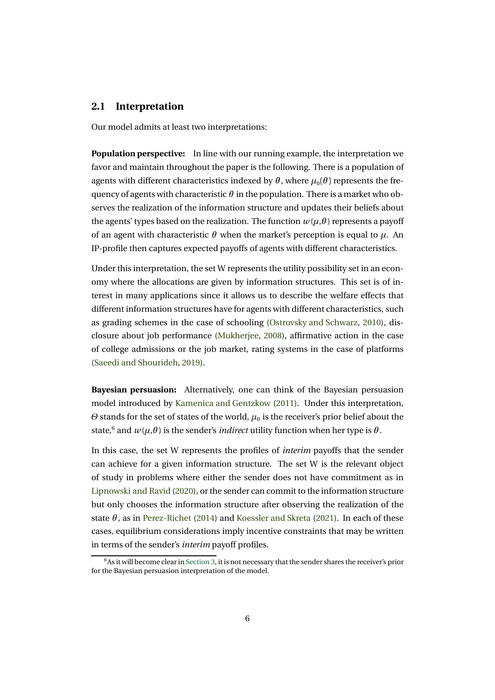#### **2.1 Interpretation**

Our model admits at least two interpretations:

**Population perspective:** In line with our running example, the interpretation we favor and maintain throughout the paper is the following. There is a population of agents with different characteristics indexed by  $\theta$ , where  $\mu_0(\theta)$  represents the frequency of agents with characteristic  $\theta$  in the population. There is a market who observes the realization of the information structure and updates their beliefs about the agents' types based on the realization. The function  $w(\mu, \theta)$  represents a payoff of an agent with characteristic  $\theta$  when the market's perception is equal to  $\mu$ . An IP-profile then captures expected payoffs of agents with different characteristics.

Under this interpretation, the set W represents the utility possibility set in an economy where the allocations are given by information structures. This set is of interest in many applications since it allows us to describe the welfare effects that different information structures have for agents with different characteristics, such as grading schemes in the case of schooling (Ostrovsky and Schwarz, 2010), disclosure about job performance (Mukherjee, 2008), affirmative action in the case of college admissions or the job market, rating systems in the case of platforms (Saeedi and Shourideh, 2019).

**Bayesian persuasion:** Alternatively, one can think of the Bayesian persuasion model introduced by Kamenica and Gentzkow (2011). Under this interpretation, *Θ* stands for the set of states of the world,  $\mu_0$  is the receiver's prior belief about the state,<sup>6</sup> and  $w(\mu, \theta)$  is the sender's *indirect* utility function when her type is  $\theta$ .

In this case, the set W represents the profiles of *interim* payoffs that the sender can achieve for a given information structure. The set W is the relevant object of study in problems where either the sender does not have commitment as in Lipnowski and Ravid (2020), or the sender can commit to the information structure but only chooses the information structure after observing the realization of the state  $\theta$ , as in Perez-Richet (2014) and Koessler and Skreta (2021). In each of these cases, equilibrium considerations imply incentive constraints that may be written in terms of the sender's *interim* payoff profiles.

 $6$ As it will become clear in Section 3, it is not necessary that the sender shares the receiver's prior for the Bayesian persuasion interpretation of the model.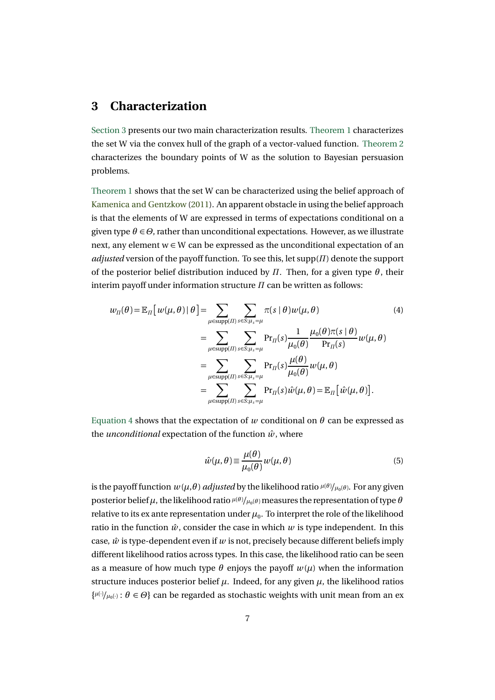### **3 Characterization**

Section 3 presents our two main characterization results. Theorem 1 characterizes the set W via the convex hull of the graph of a vector-valued function. Theorem 2 characterizes the boundary points of W as the solution to Bayesian persuasion problems.

Theorem 1 shows that the set W can be characterized using the belief approach of Kamenica and Gentzkow (2011). An apparent obstacle in using the belief approach is that the elements of W are expressed in terms of expectations conditional on a given type  $\theta \in \Theta$ , rather than unconditional expectations. However, as we illustrate next, any element  $w \in W$  can be expressed as the unconditional expectation of an *adjusted* version of the payoff function. To see this, let supp(*Π*) denote the support of the posterior belief distribution induced by  $\Pi$ . Then, for a given type  $\theta$ , their interim payoff under information structure *Π* can be written as follows:

$$
w_{\Pi}(\theta) = \mathbb{E}_{\Pi} [ w(\mu, \theta) | \theta ] = \sum_{\mu \in \text{supp}(\Pi)} \sum_{s \in S:\mu_s = \mu} \pi(s | \theta) w(\mu, \theta)
$$
(4)  

$$
= \sum_{\mu \in \text{supp}(\Pi)} \sum_{s \in S:\mu_s = \mu} \Pr_{\Pi}(s) \frac{1}{\mu_0(\theta)} \frac{\mu_0(\theta) \pi(s | \theta)}{\Pr_{\Pi}(s)} w(\mu, \theta)
$$
  

$$
= \sum_{\mu \in \text{supp}(\Pi)} \sum_{s \in S:\mu_s = \mu} \Pr_{\Pi}(s) \frac{\mu(\theta)}{\mu_0(\theta)} w(\mu, \theta)
$$
  

$$
= \sum_{\mu \in \text{supp}(\Pi)} \sum_{s \in S:\mu_s = \mu} \Pr_{\Pi}(s) \hat{w}(\mu, \theta) = \mathbb{E}_{\Pi} [\hat{w}(\mu, \theta)].
$$

Equation 4 shows that the expectation of *w* conditional on  $\theta$  can be expressed as the *unconditional* expectation of the function  $\hat{w}$ , where

$$
\hat{w}(\mu,\theta) \equiv \frac{\mu(\theta)}{\mu_0(\theta)} w(\mu,\theta) \tag{5}
$$

is the payoff function  $w(\mu,\theta)$  *adjusted* by the likelihood ratio  $^{\mu(\theta)}/_{\mu_0(\theta)}$ . For any given posterior belief*µ*, the likelihood ratio *<sup>µ</sup>*(*<sup>θ</sup>* ) */µ*0(*<sup>θ</sup>* ) measures the representation of type *θ* relative to its ex ante representation under  $\mu_0$ . To interpret the role of the likelihood ratio in the function  $\hat{w}$ , consider the case in which  $w$  is type independent. In this case,  $\hat{w}$  is type-dependent even if  $w$  is not, precisely because different beliefs imply different likelihood ratios across types. In this case, the likelihood ratio can be seen as a measure of how much type  $\theta$  enjoys the payoff  $w(\mu)$  when the information structure induces posterior belief  $\mu$ . Indeed, for any given  $\mu$ , the likelihood ratios  $\{\mu(\cdot)/\mu_0(\cdot): \theta \in \Theta\}$  can be regarded as stochastic weights with unit mean from an ex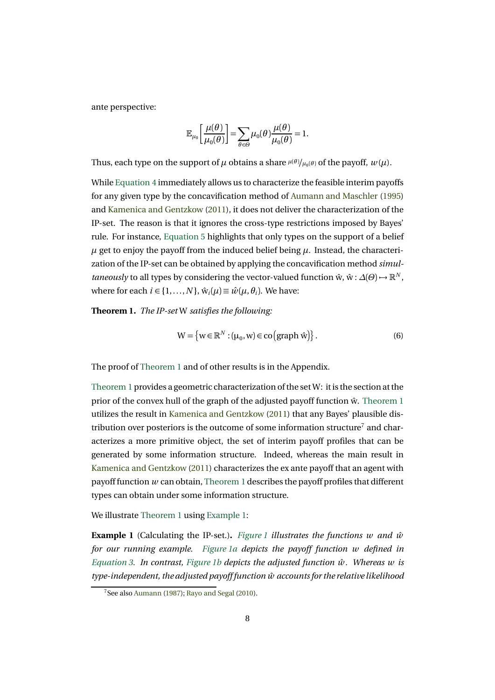ante perspective:

$$
\mathbb{E}_{\mu_0}\bigg[\frac{\mu(\theta)}{\mu_0(\theta)}\bigg]=\sum_{\theta\in\Theta}\mu_0(\theta)\frac{\mu(\theta)}{\mu_0(\theta)}=1.
$$

Thus, each type on the support of  $\mu$  obtains a share  $^{\mu(\theta)}\!/\mu_0(\theta)}$  of the payoff,  $w(\mu)$ .

While Equation 4 immediately allows us to characterize the feasible interim payoffs for any given type by the concavification method of Aumann and Maschler (1995) and Kamenica and Gentzkow (2011), it does not deliver the characterization of the IP-set. The reason is that it ignores the cross-type restrictions imposed by Bayes' rule. For instance, Equation 5 highlights that only types on the support of a belief  $\mu$  get to enjoy the payoff from the induced belief being  $\mu$ . Instead, the characterization of the IP-set can be obtained by applying the concavification method *simultaneously* to all types by considering the vector-valued function  $\hat{w}$ ,  $\hat{w}$ :  $\Delta(\theta) \rightarrow \mathbb{R}^N$ , where for each  $i \in \{1, ..., N\}$ ,  $\hat{w}_i(\mu) \equiv \hat{w}(\mu, \theta_i)$ . We have:

**Theorem 1.** *The IP-set* W *satisfies the following:*

$$
W = \{ w \in \mathbb{R}^N : (\mu_0, w) \in \text{co}(\text{graph } \hat{w}) \}.
$$
 (6)

The proof of Theorem 1 and of other results is in the Appendix.

Theorem 1 provides a geometric characterization of the set W: it is the section at the prior of the convex hull of the graph of the adjusted payoff function  $\hat{w}$ . Theorem 1 utilizes the result in Kamenica and Gentzkow (2011) that any Bayes' plausible distribution over posteriors is the outcome of some information structure<sup>7</sup> and characterizes a more primitive object, the set of interim payoff profiles that can be generated by some information structure. Indeed, whereas the main result in Kamenica and Gentzkow (2011) characterizes the ex ante payoff that an agent with payoff function *w* can obtain, Theorem 1 describes the payoff profiles that different types can obtain under some information structure.

We illustrate Theorem 1 using Example 1:

**Example 1** (Calculating the IP-set.). *Figure 1 illustrates the functions w and*  $\hat{w}$ *for our running example. Figure 1a depicts the payoff function w defined in Equation 3. In contrast, Figure 1b depicts the adjusted function*  $\hat{w}$ *. Whereas w is type-independent, the adjusted payoff function w accounts for the relative likelihood* ˆ

<sup>7</sup>See also Aumann (1987); Rayo and Segal (2010).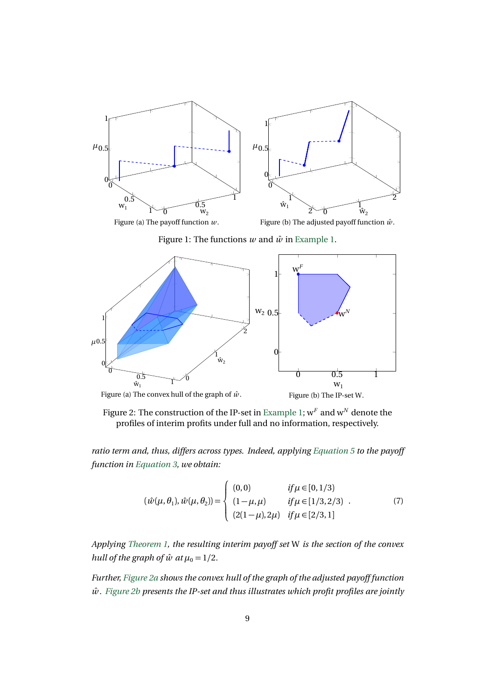

Figure 1: The functions  $w$  and  $\hat{w}$  in Example 1.



Figure 2: The construction of the IP-set in Example 1; w*<sup>F</sup>* and w*<sup>N</sup>* denote the profiles of interim profits under full and no information, respectively.

*ratio term and, thus, differs across types. Indeed, applying Equation 5 to the payoff function in Equation 3, we obtain:*

$$
(\hat{w}(\mu,\theta_1),\hat{w}(\mu,\theta_2)) = \begin{cases} (0,0) & if \mu \in [0,1/3) \\ (1-\mu,\mu) & if \mu \in [1/3,2/3) \\ (2(1-\mu),2\mu) & if \mu \in [2/3,1] \end{cases}
$$
(7)

*Applying Theorem 1, the resulting interim payoff set* W *is the section of the convex hull of the graph of*  $\hat{w}$  *at*  $\mu_0 = 1/2$ *.* 

*Further, Figure 2a shows the convex hull of the graph of the adjusted payoff function*  $\hat{w}$ . Figure 2b presents the IP-set and thus illustrates which profit profiles are jointly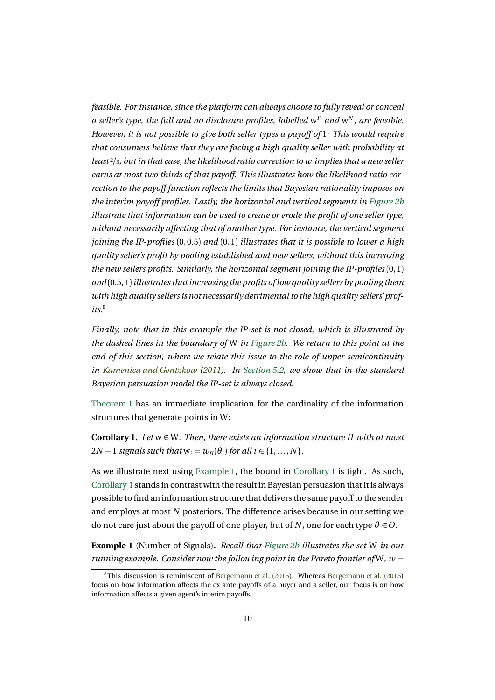*feasible. For instance, since the platform can always choose to fully reveal or conceal a seller's type, the full and no disclosure profiles, labelled*  $w<sup>F</sup>$  *and*  $w<sup>N</sup>$ *, are feasible. However, it is not possible to give both seller types a payoff of* 1*: This would require that consumers believe that they are facing a high quality seller with probability at least* <sup>2</sup>*/*3*, but in that case, the likelihood ratio correction to w implies that a new seller earns at most two thirds of that payoff. This illustrates how the likelihood ratio correction to the payoff function reflects the limits that Bayesian rationality imposes on the interim payoff profiles. Lastly, the horizontal and vertical segments in Figure 2b illustrate that information can be used to create or erode the profit of one seller type, without necessarily affecting that of another type. For instance, the vertical segment joining the IP-profiles* (0, 0.5) *and* (0, 1) *illustrates that it is possible to lower a high quality seller's profit by pooling established and new sellers, without this increasing the new sellers profits. Similarly, the horizontal segment joining the IP-profiles* (0, 1) *and* (0.5, 1)*illustrates that increasing the profits of low quality sellers by pooling them* with high quality sellers is not necessarily detrimental to the high quality sellers' prof $its<sup>8</sup>$ 

*Finally, note that in this example the IP-set is not closed, which is illustrated by the dashed lines in the boundary of* W *in Figure 2b. We return to this point at the end of this section, where we relate this issue to the role of upper semicontinuity in Kamenica and Gentzkow (2011). In Section 5.2, we show that in the standard Bayesian persuasion model the IP-set is always closed.*

Theorem 1 has an immediate implication for the cardinality of the information structures that generate points in W:

**Corollary 1.** *Let* w ∈ W*. Then, there exists an information structure Π with at most*  $2N-1$  *signals such that*  $w_i = w_\Pi(\theta_i)$  *for all i* ∈ {1,..., *N*}*.* 

As we illustrate next using Example 1, the bound in Corollary 1 is tight. As such, Corollary 1 stands in contrast with the result in Bayesian persuasion that it is always possible to find an information structure that delivers the same payoff to the sender and employs at most *N* posteriors. The difference arises because in our setting we do not care just about the payoff of one player, but of *N*, one for each type  $\theta \in \Theta$ .

**Example 1** (Number of Signals)**.** *Recall that Figure 2b illustrates the set* W *in our running example. Consider now the following point in the Pareto frontier of* W,  $w =$ 

<sup>&</sup>lt;sup>8</sup>This discussion is reminiscent of Bergemann et al. (2015). Whereas Bergemann et al. (2015) focus on how information affects the ex ante payoffs of a buyer and a seller, our focus is on how information affects a given agent's interim payoffs.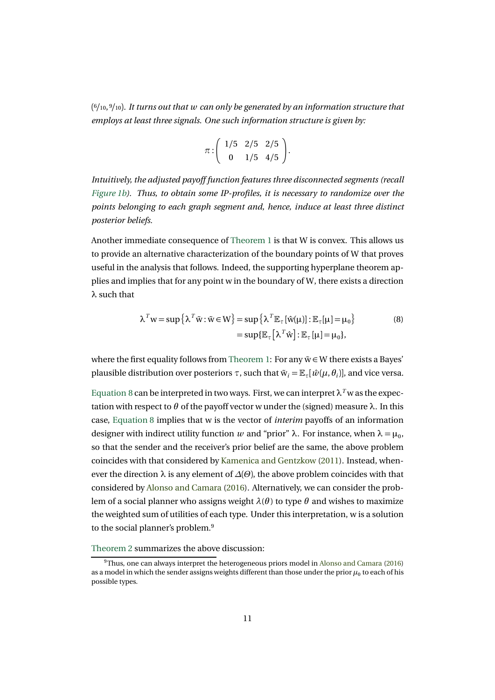(<sup>6</sup>*/*10, <sup>9</sup>*/*10)*. It turns out that w can only be generated by an information structure that employs at least three signals. One such information structure is given by:*

$$
\pi : \left(\begin{array}{cc} 1/5 & 2/5 & 2/5 \\ 0 & 1/5 & 4/5 \end{array}\right).
$$

*Intuitively, the adjusted payoff function features three disconnected segments (recall Figure 1b). Thus, to obtain some IP-profiles, it is necessary to randomize over the points belonging to each graph segment and, hence, induce at least three distinct posterior beliefs.*

Another immediate consequence of Theorem 1 is that W is convex. This allows us to provide an alternative characterization of the boundary points of W that proves useful in the analysis that follows. Indeed, the supporting hyperplane theorem applies and implies that for any point w in the boundary of W, there exists a direction *λ* such that

$$
\lambda^T w = \sup \{ \lambda^T \tilde{w} : \tilde{w} \in W \} = \sup \{ \lambda^T \mathbb{E}_{\tau} [\hat{w}(\mu)] : \mathbb{E}_{\tau} [\mu] = \mu_0 \}
$$
\n
$$
= \sup \{ \mathbb{E}_{\tau} [\lambda^T \hat{w}] : \mathbb{E}_{\tau} [\mu] = \mu_0 \},
$$
\n(8)

where the first equality follows from Theorem 1: For any  $\tilde{w} \in W$  there exists a Bayes' plausible distribution over posteriors  $\tau$ , such that  $\tilde{w}_i = \mathbb{E}_{\tau}[\hat{w}(\mu, \theta_i)]$ , and vice versa.

Equation 8 can be interpreted in two ways. First, we can interpret  $\lambda^T$  w as the expectation with respect to  $\theta$  of the payoff vector w under the (signed) measure  $\lambda$ . In this case, Equation 8 implies that w is the vector of *interim* payoffs of an information designer with indirect utility function *w* and "prior"  $\lambda$ . For instance, when  $\lambda = \mu_0$ , so that the sender and the receiver's prior belief are the same, the above problem coincides with that considered by Kamenica and Gentzkow (2011). Instead, whenever the direction  $\lambda$  is any element of  $\Delta(\Theta)$ , the above problem coincides with that considered by Alonso and Camara (2016). Alternatively, we can consider the problem of a social planner who assigns weight  $\lambda(\theta)$  to type  $\theta$  and wishes to maximize the weighted sum of utilities of each type. Under this interpretation, w is a solution to the social planner's problem.<sup>9</sup>

Theorem 2 summarizes the above discussion:

<sup>&</sup>lt;sup>9</sup>Thus, one can always interpret the heterogeneous priors model in Alonso and Camara (2016) as a model in which the sender assigns weights different than those under the prior  $\mu_0$  to each of his possible types.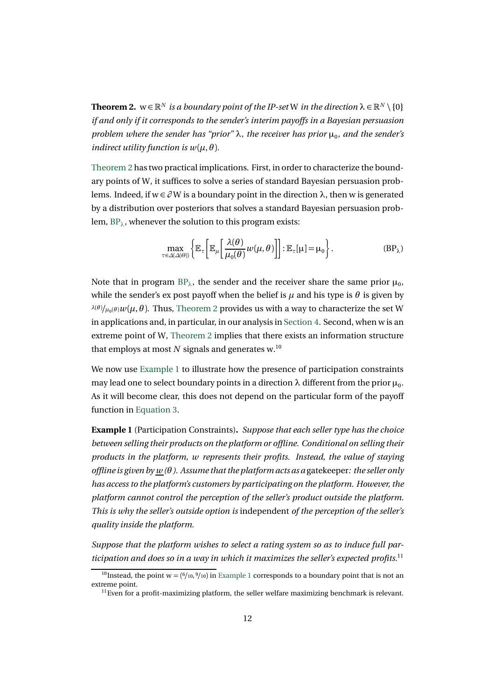**Theorem 2.**  $w \in \mathbb{R}^N$  *is a boundary point of the IP-set* W *in the direction*  $\lambda \in \mathbb{R}^N \setminus \{0\}$ *if and only if it corresponds to the sender's interim payoffs in a Bayesian persuasion problem where the sender has "prior"*  $\lambda$ *, the receiver has prior*  $\mu_0$ *, and the sender's indirect utility function is*  $w(\mu, \theta)$ *.* 

Theorem 2 has two practical implications. First, in order to characterize the boundary points of W, it suffices to solve a series of standard Bayesian persuasion problems. Indeed, if w ∈ *∂* W is a boundary point in the direction *λ*, then w is generated by a distribution over posteriors that solves a standard Bayesian persuasion problem, BP*λ*, whenever the solution to this program exists:

$$
\max_{\tau \in \Delta(\Delta(\Theta))} \left\{ \mathbb{E}_{\tau} \left[ \mathbb{E}_{\mu} \left[ \frac{\lambda(\theta)}{\mu_0(\theta)} w(\mu, \theta) \right] \right] : \mathbb{E}_{\tau}[\mu] = \mu_0 \right\}. \tag{BP$\lambda$}
$$

Note that in program  $BP_\lambda$ , the sender and the receiver share the same prior  $\mu_0$ , while the sender's expost payoff when the belief is  $\mu$  and his type is  $\theta$  is given by  $\lambda^{(\theta)} / \mu_0(\theta) w(\mu, \theta)$ . Thus, Theorem 2 provides us with a way to characterize the set W in applications and, in particular, in our analysis in Section 4. Second, when w is an extreme point of W, Theorem 2 implies that there exists an information structure that employs at most  $N$  signals and generates w.<sup>10</sup>

We now use Example 1 to illustrate how the presence of participation constraints may lead one to select boundary points in a direction  $\lambda$  different from the prior  $\mu_0$ . As it will become clear, this does not depend on the particular form of the payoff function in Equation 3.

**Example 1** (Participation Constraints)**.** *Suppose that each seller type has the choice between selling their products on the platform or offline. Conditional on selling their products in the platform, w represents their profits. Instead, the value of staying offline is given by w (θ ). Assume that the platform acts as a* gatekeeper*: the seller only has access to the platform's customers by participating on the platform. However, the platform cannot control the perception of the seller's product outside the platform. This is why the seller's outside option is* independent *of the perception of the seller's quality inside the platform.*

*Suppose that the platform wishes to select a rating system so as to induce full participation and does so in a way in which it maximizes the seller's expected profits.*<sup>11</sup>

<sup>&</sup>lt;sup>10</sup>Instead, the point  $w = (6/10, 9/10)$  in Example 1 corresponds to a boundary point that is not an extreme point.

 $<sup>11</sup>$  Even for a profit-maximizing platform, the seller welfare maximizing benchmark is relevant.</sup>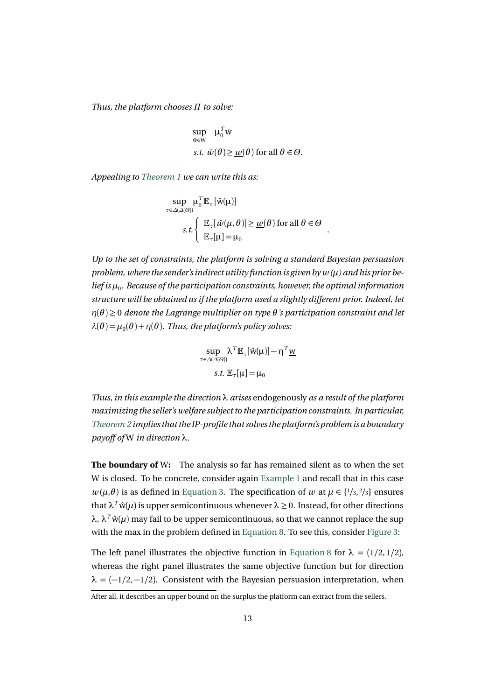*Thus, the platform chooses Π to solve:*

$$
\sup_{\tilde{w}\in W} \mu_0^T \tilde{w}
$$
  
s.t.  $\tilde{w}(\theta) \ge \underline{w}(\theta)$  for all  $\theta \in \Theta$ .

*Appealing to Theorem 1 we can write this as:*

$$
\sup_{\tau \in \Delta(\Delta(\Theta))} \mu_0^T \mathbb{E}_{\tau} [\hat{w}(\mu)]
$$
  
s.t. 
$$
\begin{cases} \mathbb{E}_{\tau} [\hat{w}(\mu, \theta)] \ge \underline{w}(\theta) \text{ for all } \theta \in \Theta \\ \mathbb{E}_{\tau}[\mu] = \mu_0 \end{cases}
$$

.

*Up to the set of constraints, the platform is solving a standard Bayesian persuasion problem, where the sender's indirect utility function is given by w (µ) and his prior belief is*  $\mu_0$ *. Because of the participation constraints, however, the optimal information structure will be obtained as if the platform used a slightly different prior. Indeed, let η*(*θ* ) ≥ 0 *denote the Lagrange multiplier on type θ 's participation constraint and let*  $\lambda(\theta) = \mu_0(\theta) + \eta(\theta)$ . Thus, the platform's policy solves:

$$
\sup_{\tau \in \Delta(\Delta(\Theta))} \lambda^T \mathbb{E}_{\tau}[\hat{w}(\mu)] - \eta^T \underline{w}
$$
  
s.t.  $\mathbb{E}_{\tau}[\mu] = \mu_0$ 

*Thus, in this example the direction λ arises* endogenously *as a result of the platform maximizing the seller's welfare subject to the participation constraints. In particular, Theorem 2 implies that the IP-profile that solves the platform's problem is a boundary payoff of* W *in direction λ.*

**The boundary of** W**:** The analysis so far has remained silent as to when the set W is closed. To be concrete, consider again Example 1 and recall that in this case  $w(\mu, \theta)$  is as defined in Equation 3. The specification of *w* at  $\mu \in \{1/3, 2/3\}$  ensures that  $\lambda^T \hat{w}(\mu)$  is upper semicontinuous whenever  $\lambda \geq 0$ . Instead, for other directions  $\lambda$ ,  $\lambda^T \hat{w}(\mu)$  may fail to be upper semicontinuous, so that we cannot replace the sup with the max in the problem defined in Equation 8. To see this, consider Figure 3:

The left panel illustrates the objective function in Equation 8 for  $\lambda = (1/2, 1/2)$ , whereas the right panel illustrates the same objective function but for direction  $\lambda = (-1/2, -1/2)$ . Consistent with the Bayesian persuasion interpretation, when

After all, it describes an upper bound on the surplus the platform can extract from the sellers.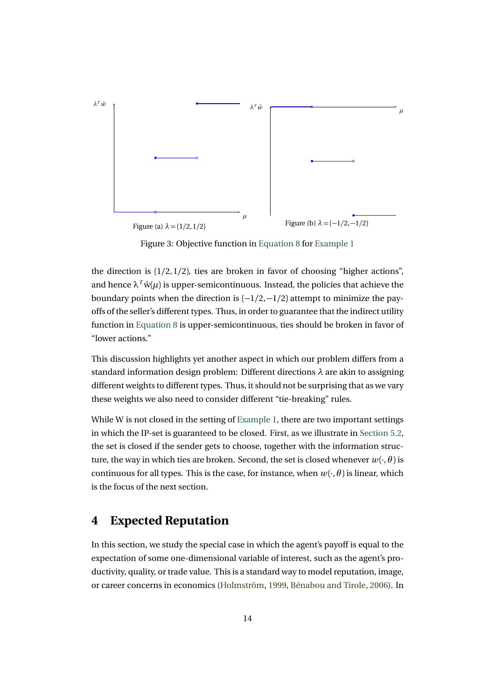

Figure 3: Objective function in Equation 8 for Example 1

the direction is  $(1/2, 1/2)$ , ties are broken in favor of choosing "higher actions", and hence  $\lambda^T \hat{w}(\mu)$  is upper-semicontinuous. Instead, the policies that achieve the boundary points when the direction is  $\left(\frac{-1}{2},\frac{-1}{2}\right)$  attempt to minimize the payoffs of the seller's different types. Thus, in order to guarantee that the indirect utility function in Equation 8 is upper-semicontinuous, ties should be broken in favor of "lower actions."

This discussion highlights yet another aspect in which our problem differs from a standard information design problem: Different directions *λ* are akin to assigning different weights to different types. Thus, it should not be surprising that as we vary these weights we also need to consider different "tie-breaking" rules.

While W is not closed in the setting of Example 1, there are two important settings in which the IP-set is guaranteed to be closed. First, as we illustrate in Section 5.2, the set is closed if the sender gets to choose, together with the information structure, the way in which ties are broken. Second, the set is closed whenever  $w(\cdot, \theta)$  is continuous for all types. This is the case, for instance, when  $w(\cdot, \theta)$  is linear, which is the focus of the next section.

## **4 Expected Reputation**

In this section, we study the special case in which the agent's payoff is equal to the expectation of some one-dimensional variable of interest, such as the agent's productivity, quality, or trade value. This is a standard way to model reputation, image, or career concerns in economics (Holmström, 1999, Bénabou and Tirole, 2006). In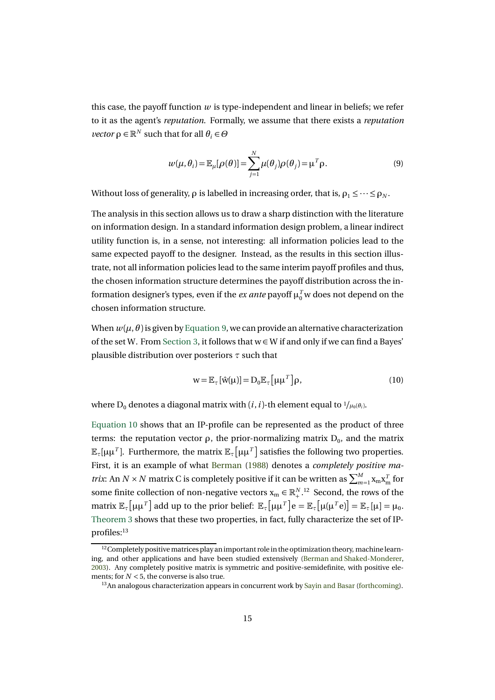this case, the payoff function  $w$  is type-independent and linear in beliefs; we refer to it as the agent's *reputation*. Formally, we assume that there exists a *reputation vector*  $\rho \in \mathbb{R}^N$  such that for all  $\theta_i \in \Theta$ 

$$
w(\mu, \theta_i) = \mathbb{E}_{\mu}[\rho(\theta)] = \sum_{j=1}^{N} \mu(\theta_j) \rho(\theta_j) = \mu^T \rho.
$$
 (9)

Without loss of generality,  $\rho$  is labelled in increasing order, that is,  $\rho_1 \leq \cdots \leq \rho_N$ .

The analysis in this section allows us to draw a sharp distinction with the literature on information design. In a standard information design problem, a linear indirect utility function is, in a sense, not interesting: all information policies lead to the same expected payoff to the designer. Instead, as the results in this section illustrate, not all information policies lead to the same interim payoff profiles and thus, the chosen information structure determines the payoff distribution across the information designer's types, even if the *ex ante* payoff  $\mu_0^T$  w does not depend on the chosen information structure.

When  $w(\mu, \theta)$  is given by Equation 9, we can provide an alternative characterization of the set W. From Section 3, it follows that  $w \in W$  if and only if we can find a Bayes' plausible distribution over posteriors *τ* such that

$$
w = \mathbb{E}_{\tau} [\hat{w}(\mu)] = D_0 \mathbb{E}_{\tau} [\mu \mu^T] \rho, \qquad (10)
$$

where D<sub>0</sub> denotes a diagonal matrix with  $(i, i)$ -th element equal to  $\frac{1}{\mu_0(\theta_i)}$ .

Equation 10 shows that an IP-profile can be represented as the product of three terms: the reputation vector *ρ*, the prior-normalizing matrix  $D_0$ , and the matrix  $\mathbb{E}_{\tau}[\mu\mu^T]$ . Furthermore, the matrix  $\mathbb{E}_{\tau}[\mu\mu^T]$  satisfies the following two properties. First, it is an example of what Berman (1988) denotes a *completely positive matrix*: An *N* × *N* matrix C is completely positive if it can be written as  $\sum_{m=1}^{M}$   $X_m$   $X_m^T$  for some finite collection of non-negative vectors  $x_m \in \mathbb{R}^{N,12}_+$ . Second, the rows of the  $\text{matrix } \mathbb{E}_{\tau} \left[ \mu \mu^{T} \right]$  add up to the prior belief:  $\mathbb{E}_{\tau} \left[ \mu \mu^{T} \right] e = \mathbb{E}_{\tau} \left[ \mu ( \mu^{T} e ) \right] = \mathbb{E}_{\tau} [ \mu ] = \mu_{0}.$ Theorem 3 shows that these two properties, in fact, fully characterize the set of IPprofiles:<sup>13</sup>

<sup>&</sup>lt;sup>12</sup> Completely positive matrices play an important role in the optimization theory, machine learning, and other applications and have been studied extensively (Berman and Shaked-Monderer, 2003). Any completely positive matrix is symmetric and positive-semidefinite, with positive elements; for  $N < 5$ , the converse is also true.

<sup>&</sup>lt;sup>13</sup>An analogous characterization appears in concurrent work by Sayin and Basar (forthcoming).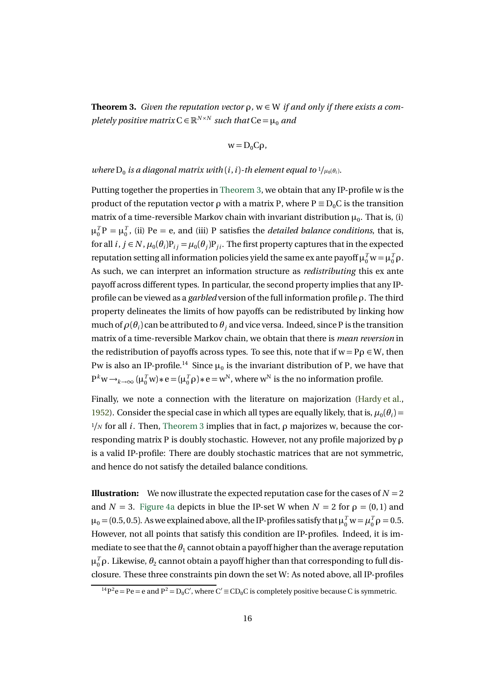**Theorem 3.** *Given the reputation vector ρ,* w ∈ W *if and only if there exists a completely positive matrix*  $C \in \mathbb{R}^{N \times N}$  *such that*  $Ce = \mu_0$  *and* 

$$
w = D_0 C \rho,
$$

#### *where*  $D_0$  *is a diagonal matrix with* (*i*, *i*)-*th element equal to*  $\frac{1}{\mu_0(\theta_i)}$ .

Putting together the properties in Theorem 3, we obtain that any IP-profile w is the product of the reputation vector *ρ* with a matrix P, where  $P \equiv D_0 C$  is the transition matrix of a time-reversible Markov chain with invariant distribution  $\mu_0$ . That is, (i)  $\mu_0^T P = \mu_0^T$ , (ii) Pe = e, and (iii) P satisfies the *detailed balance conditions*, that is, for all  $i, j \in N$ ,  $\mu_0(\theta_i)P_{ij} = \mu_0(\theta_i)P_{ji}$ . The first property captures that in the expected reputation setting all information policies yield the same ex ante payoff  $\mu_0^T w = \mu_0^T \rho$ . As such, we can interpret an information structure as *redistributing* this ex ante payoff across different types. In particular, the second property implies that any IPprofile can be viewed as a *garbled* version of the full information profile *ρ*. The third property delineates the limits of how payoffs can be redistributed by linking how much of  $\rho(\theta_i)$  can be attributed to  $\theta_i$  and vice versa. Indeed, since P is the transition matrix of a time-reversible Markov chain, we obtain that there is *mean reversion* in the redistribution of payoffs across types. To see this, note that if  $w = P\rho \in W$ , then Pw is also an IP-profile.<sup>14</sup> Since  $\mu_0$  is the invariant distribution of P, we have that  $P^k w \rightarrow_{k \rightarrow \infty} (\mu_0^T w) * e = (\mu_0^T \rho) * e = w^N$ , where  $w^N$  is the no information profile.

Finally, we note a connection with the literature on majorization (Hardy et al., 1952). Consider the special case in which all types are equally likely, that is,  $\mu_0(\theta_i)$  = <sup>1</sup>*/<sup>N</sup>* for all *i*. Then, Theorem 3 implies that in fact, *ρ* majorizes w, because the corresponding matrix P is doubly stochastic. However, not any profile majorized by *ρ* is a valid IP-profile: There are doubly stochastic matrices that are not symmetric, and hence do not satisfy the detailed balance conditions.

**Illustration:** We now illustrate the expected reputation case for the cases of  $N = 2$ and  $N = 3$ . Figure 4a depicts in blue the IP-set W when  $N = 2$  for  $\rho = (0, 1)$  and  $\mu_0 = (0.5, 0.5)$ . As we explained above, all the IP-profiles satisfy that  $\mu_0^T w = \mu_0^T \rho = 0.5$ . However, not all points that satisfy this condition are IP-profiles. Indeed, it is immediate to see that the  $\theta_1$  cannot obtain a payoff higher than the average reputation  $μ<sub>0</sub><sup>T</sup>ρ$ . Likewise,  $θ<sub>2</sub>$  cannot obtain a payoff higher than that corresponding to full disclosure. These three constraints pin down the set W: As noted above, all IP-profiles

 $1^1P^2e = Pe = e$  and  $P^2 = D_0C'$ , where  $C' \equiv CD_0C$  is completely positive because C is symmetric.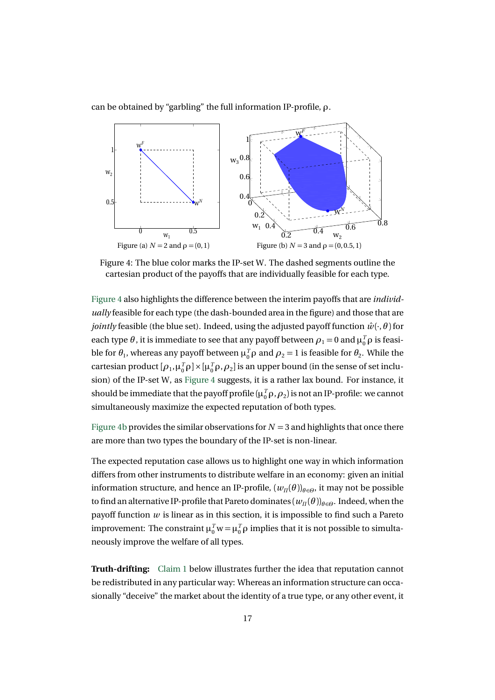can be obtained by "garbling" the full information IP-profile, *ρ*.



Figure 4: The blue color marks the IP-set W. The dashed segments outline the cartesian product of the payoffs that are individually feasible for each type.

Figure 4 also highlights the difference between the interim payoffs that are *individually* feasible for each type (the dash-bounded area in the figure) and those that are *jointly* feasible (the blue set). Indeed, using the adjusted payoff function  $\hat{w}(\cdot,\theta)$  for each type  $\theta$ , it is immediate to see that any payoff between  $\rho_1 = 0$  and  $\mu_0^T \rho$  is feasible for  $\theta_1$ , whereas any payoff between  $\mu_0^T \rho$  and  $\rho_2 = 1$  is feasible for  $\theta_2$ . While the cartesian product  $[\rho_1, \mu_0^T \rho] \times [\mu_0^T \rho, \rho_2]$  is an upper bound (in the sense of set inclusion) of the IP-set W, as Figure 4 suggests, it is a rather lax bound. For instance, it should be immediate that the payoff profile ( $\mu_0^T \rho$ ,  $\rho_2$ ) is not an IP-profile: we cannot simultaneously maximize the expected reputation of both types.

Figure 4b provides the similar observations for  $N = 3$  and highlights that once there are more than two types the boundary of the IP-set is non-linear.

The expected reputation case allows us to highlight one way in which information differs from other instruments to distribute welfare in an economy: given an initial information structure, and hence an IP-profile,  $(w_{\Pi}(\theta))_{\theta \in \Theta}$ , it may not be possible to find an alternative IP-profile that Pareto dominates  $(w_{\Pi}(\theta))_{\theta \in \Theta}$ . Indeed, when the payoff function *w* is linear as in this section, it is impossible to find such a Pareto improvement: The constraint  $\mu_0^T w = \mu_0^T \rho$  implies that it is not possible to simultaneously improve the welfare of all types.

**Truth-drifting:** Claim 1 below illustrates further the idea that reputation cannot be redistributed in any particular way: Whereas an information structure can occasionally "deceive" the market about the identity of a true type, or any other event, it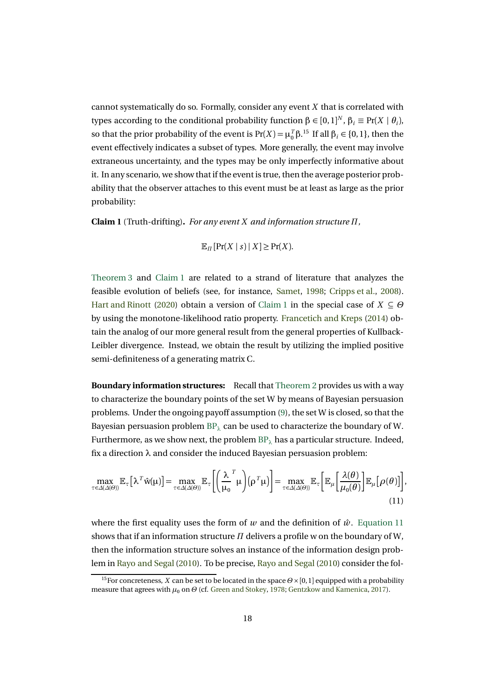cannot systematically do so. Formally, consider any event *X* that is correlated with types according to the conditional probability function  $\beta \in [0, 1]^N$ ,  $\beta_i \equiv \Pr(X \mid \theta_i)$ , so that the prior probability of the event is  $Pr(X) = \mu_0^T \beta$ .<sup>15</sup> If all  $\beta_i \in \{0, 1\}$ , then the event effectively indicates a subset of types. More generally, the event may involve extraneous uncertainty, and the types may be only imperfectly informative about it. In any scenario, we show that if the event is true, then the average posterior probability that the observer attaches to this event must be at least as large as the prior probability:

**Claim 1** (Truth-drifting)**.** *For any event X and information structure Π,*

$$
\mathbb{E}_{\Pi}[\Pr(X \mid s) \mid X] \ge \Pr(X).
$$

Theorem 3 and Claim 1 are related to a strand of literature that analyzes the feasible evolution of beliefs (see, for instance, Samet, 1998; Cripps et al., 2008). Hart and Rinott (2020) obtain a version of Claim 1 in the special case of *X* ⊆ *Θ* by using the monotone-likelihood ratio property. Francetich and Kreps (2014) obtain the analog of our more general result from the general properties of Kullback-Leibler divergence. Instead, we obtain the result by utilizing the implied positive semi-definiteness of a generating matrix C.

**Boundary information structures:** Recall that Theorem 2 provides us with a way to characterize the boundary points of the set W by means of Bayesian persuasion problems. Under the ongoing payoff assumption (9), the set W is closed, so that the Bayesian persuasion problem BP*<sup>λ</sup>* can be used to characterize the boundary of W. Furthermore, as we show next, the problem BP*<sup>λ</sup>* has a particular structure. Indeed, fix a direction *λ* and consider the induced Bayesian persuasion problem:

$$
\max_{\tau \in \Delta(\Delta(\Theta))} \mathbb{E}_{\tau} \left[ \lambda^T \hat{w}(\mu) \right] = \max_{\tau \in \Delta(\Delta(\Theta))} \mathbb{E}_{\tau} \left[ \left( \frac{\lambda^T}{\mu_0} \mu \right) (\rho^T \mu) \right] = \max_{\tau \in \Delta(\Delta(\Theta))} \mathbb{E}_{\tau} \left[ \mathbb{E}_{\mu} \left[ \frac{\lambda(\theta)}{\mu_0(\theta)} \right] \mathbb{E}_{\mu} [\rho(\theta)] \right],
$$
\n(11)

where the first equality uses the form of *w* and the definition of  $\hat{w}$ . Equation 11 shows that if an information structure *Π* delivers a profile w on the boundary of W, then the information structure solves an instance of the information design problem in Rayo and Segal (2010). To be precise, Rayo and Segal (2010) consider the fol-

<sup>15</sup>For concreteness, *<sup>X</sup>* can be set to be located in the space *<sup>Θ</sup>* <sup>×</sup>[0, 1] equipped with a probability measure that agrees with  $μ_0$  on  $Θ$  (cf. Green and Stokey, 1978; Gentzkow and Kamenica, 2017).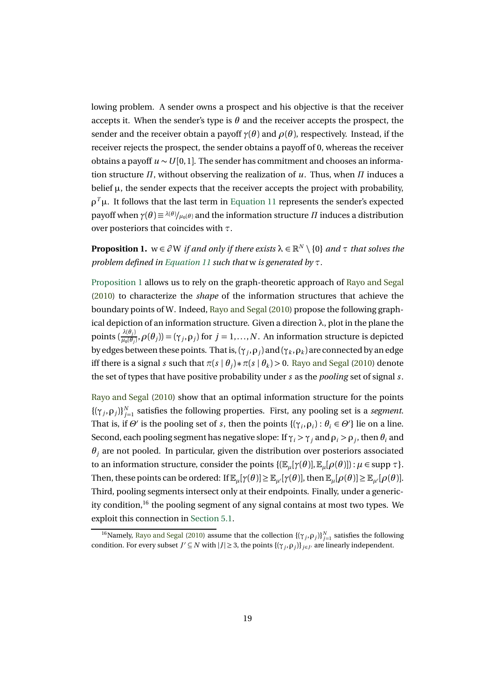lowing problem. A sender owns a prospect and his objective is that the receiver accepts it. When the sender's type is  $\theta$  and the receiver accepts the prospect, the sender and the receiver obtain a payoff  $\gamma(\theta)$  and  $\rho(\theta)$ , respectively. Instead, if the receiver rejects the prospect, the sender obtains a payoff of 0, whereas the receiver obtains a payoff *u* ∼*U* [0, 1]. The sender has commitment and chooses an information structure *Π*, without observing the realization of *u*. Thus, when *Π* induces a belief  $\mu$ , the sender expects that the receiver accepts the project with probability, *ρ<sup>T</sup>*  $\mu$ . It follows that the last term in Equation 11 represents the sender's expected payoff when  $\gamma(\theta) \equiv \lambda(\theta)/\mu_0(\theta)$  and the information structure *Π* induces a distribution over posteriors that coincides with *τ*.

**Proposition 1.**  $w \in \partial W$  *if and only if there exists*  $\lambda \in \mathbb{R}^N \setminus \{0\}$  *and*  $\tau$  *that solves the problem defined in Equation 11 such that* w *is generated by τ.*

Proposition 1 allows us to rely on the graph-theoretic approach of Rayo and Segal (2010) to characterize the *shape* of the information structures that achieve the boundary points of W. Indeed, Rayo and Segal (2010) propose the following graphical depiction of an information structure. Given a direction *λ*, plot in the plane the points  $(\frac{\lambda(\theta_j)}{\mu_0(\theta_j)}, \rho(\theta_j)) = (\gamma_j, \rho_j)$  for  $j = 1, ..., N$ . An information structure is depicted by edges between these points. That is, (*γ<sup>j</sup>* ,*ρ<sup>j</sup>* ) and (*γ<sup>k</sup>* ,*ρ<sup>k</sup>* ) are connected by an edge iff there is a signal *s* such that  $\pi(s | \theta_i) * \pi(s | \theta_k) > 0$ . Rayo and Segal (2010) denote the set of types that have positive probability under *s* as the *pooling* set of signal *s*.

Rayo and Segal (2010) show that an optimal information structure for the points  $\{(\gamma_j, \rho_j)\}_{j=1}^N$  satisfies the following properties. First, any pooling set is a *segment*. That is, if  $\Theta'$  is the pooling set of *s*, then the points  $\{(\gamma_i, \rho_i) : \theta_i \in \Theta'\}$  lie on a line. Second, each pooling segment has negative slope: If  $\gamma_i > \gamma_j$  and  $\rho_i > \rho_j$ , then  $\theta_i$  and  $\theta$ <sup>*j*</sup> are not pooled. In particular, given the distribution over posteriors associated to an information structure, consider the points  $\{(\mathbb{E}_u[\gamma(\theta)], \mathbb{E}_u[\rho(\theta)]): \mu \in \text{supp } \tau\}.$ Then, these points can be ordered: If  $\mathbb{E}_{\mu}[\gamma(\theta)] \geq \mathbb{E}_{\mu'}[\gamma(\theta)]$ , then  $\mathbb{E}_{\mu}[\rho(\theta)] \geq \mathbb{E}_{\mu'}[\rho(\theta)]$ . Third, pooling segments intersect only at their endpoints. Finally, under a genericity condition,<sup>16</sup> the pooling segment of any signal contains at most two types. We exploit this connection in Section 5.1.

<sup>&</sup>lt;sup>16</sup>Namely, Rayo and Segal (2010) assume that the collection  $\{(\gamma_j, \rho_j)\}_{j=1}^N$  satisfies the following condition. For every subset  $J' \subseteq N$  with  $|J| \geq 3$ , the points  $\{(\gamma_i, \rho_j)\}_{j \in J'}$  are linearly independent.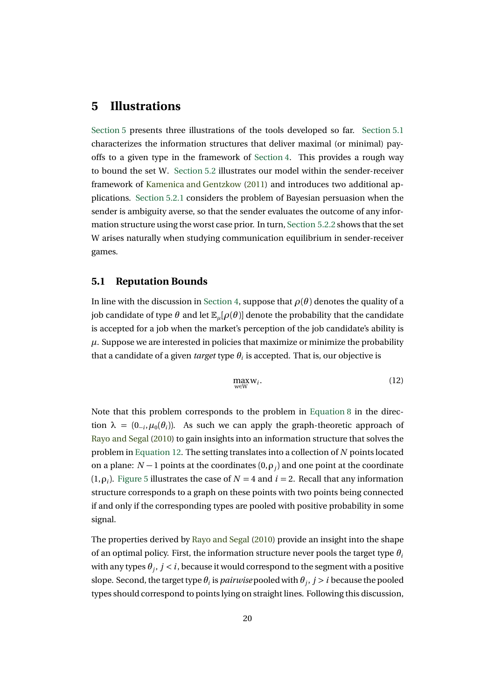### **5 Illustrations**

Section 5 presents three illustrations of the tools developed so far. Section 5.1 characterizes the information structures that deliver maximal (or minimal) payoffs to a given type in the framework of Section 4. This provides a rough way to bound the set W. Section 5.2 illustrates our model within the sender-receiver framework of Kamenica and Gentzkow (2011) and introduces two additional applications. Section 5.2.1 considers the problem of Bayesian persuasion when the sender is ambiguity averse, so that the sender evaluates the outcome of any information structure using the worst case prior. In turn, Section 5.2.2 shows that the set W arises naturally when studying communication equilibrium in sender-receiver games.

### **5.1 Reputation Bounds**

In line with the discussion in Section 4, suppose that  $\rho(\theta)$  denotes the quality of a job candidate of type  $\theta$  and let  $\mathbb{E}_{\mu}[\rho(\theta)]$  denote the probability that the candidate is accepted for a job when the market's perception of the job candidate's ability is  $\mu$ . Suppose we are interested in policies that maximize or minimize the probability that a candidate of a given *target* type  $\theta_i$  is accepted. That is, our objective is

$$
\max_{w \in W} w_i. \tag{12}
$$

Note that this problem corresponds to the problem in Equation 8 in the direction  $\lambda = (0_{-i}, \mu_0(\theta_i))$ . As such we can apply the graph-theoretic approach of Rayo and Segal (2010) to gain insights into an information structure that solves the problem in Equation 12. The setting translates into a collection of *N* points located on a plane:  $N-1$  points at the coordinates  $(0, \rho_j)$  and one point at the coordinate (1, $\rho$ <sup>*j*</sup>). Figure 5 illustrates the case of  $N = 4$  and  $i = 2$ . Recall that any information structure corresponds to a graph on these points with two points being connected if and only if the corresponding types are pooled with positive probability in some signal.

The properties derived by Rayo and Segal (2010) provide an insight into the shape of an optimal policy. First, the information structure never pools the target type *θ<sup>i</sup>* with any types *θ<sup>j</sup>* , *j < i*, because it would correspond to the segment with a positive slope. Second, the target type  $\theta_i$  is *pairwise* pooled with  $\theta_i$ ,  $j > i$  because the pooled types should correspond to points lying on straight lines. Following this discussion,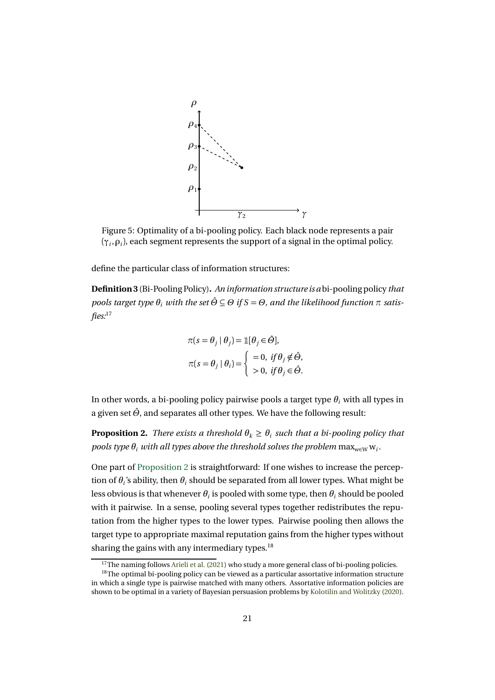

Figure 5: Optimality of a bi-pooling policy. Each black node represents a pair  $(\gamma_i, \rho_i)$ , each segment represents the support of a signal in the optimal policy.

define the particular class of information structures:

**Definition 3**(Bi-Pooling Policy)**.** *An information structure is a* bi-pooling policy *that pools target type*  $\theta_i$  *with the set*  $\hat{\theta} \subseteq \theta$  *if*  $S = \theta$ *, and the likelihood function*  $\pi$  *satisfies:*<sup>17</sup>

$$
\pi(s = \theta_j \mid \theta_j) = \mathbb{1}[\theta_j \in \hat{\Theta}],
$$
  

$$
\pi(s = \theta_j \mid \theta_i) = \begin{cases} =0, & \text{if } \theta_j \notin \hat{\Theta}, \\ >0, & \text{if } \theta_j \in \hat{\Theta}. \end{cases}
$$

In other words, a bi-pooling policy pairwise pools a target type  $\theta_i$  with all types in a given set  $\hat{\Theta}$ , and separates all other types. We have the following result:

**Proposition 2.** *There exists a threshold*  $\theta_k \geq \theta_i$  *such that a bi-pooling policy that pools type*  $\theta_i$  *with all types above the threshold solves the problem*  $\max_{w \in W} w_i$ *.* 

One part of Proposition 2 is straightforward: If one wishes to increase the perception of  $\theta$ <sup>*i*</sup> s ability, then  $\theta$ <sup>*i*</sup> should be separated from all lower types. What might be less obvious is that whenever  $\theta_i$  is pooled with some type, then  $\theta_i$  should be pooled with it pairwise. In a sense, pooling several types together redistributes the reputation from the higher types to the lower types. Pairwise pooling then allows the target type to appropriate maximal reputation gains from the higher types without sharing the gains with any intermediary types.<sup>18</sup>

<sup>&</sup>lt;sup>17</sup>The naming follows Arieli et al. (2021) who study a more general class of bi-pooling policies.

<sup>&</sup>lt;sup>18</sup>The optimal bi-pooling policy can be viewed as a particular assortative information structure in which a single type is pairwise matched with many others. Assortative information policies are shown to be optimal in a variety of Bayesian persuasion problems by Kolotilin and Wolitzky (2020).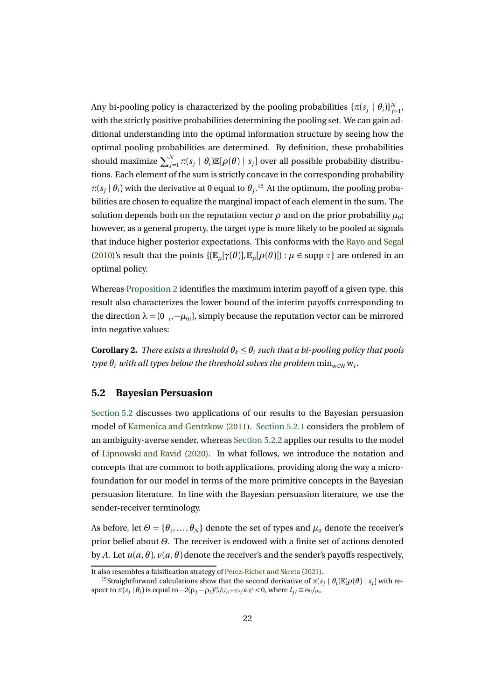Any bi-pooling policy is characterized by the pooling probabilities  $\{\pi(s_j \mid \theta_i)\}_{j=1}^N,$ with the strictly positive probabilities determining the pooling set. We can gain additional understanding into the optimal information structure by seeing how the optimal pooling probabilities are determined. By definition, these probabilities should maximize  $\sum_{j=1}^N \pi(s_j \mid \theta_i) \mathbb{E}[\rho(\theta) \mid s_j]$  over all possible probability distributions. Each element of the sum is strictly concave in the corresponding probability  $\pi(s_j | \theta_i)$  with the derivative at 0 equal to  $\theta_j$ .<sup>19</sup> At the optimum, the pooling probabilities are chosen to equalize the marginal impact of each element in the sum. The solution depends both on the reputation vector  $\rho$  and on the prior probability  $\mu_0$ ; however, as a general property, the target type is more likely to be pooled at signals that induce higher posterior expectations. This conforms with the Rayo and Segal (2010)'s result that the points  $\{(\mathbb{E}_{\mu}[\gamma(\theta)], \mathbb{E}_{\mu}[\rho(\theta)]) : \mu \in \text{supp } \tau\}$  are ordered in an optimal policy.

Whereas Proposition 2 identifies the maximum interim payoff of a given type, this result also characterizes the lower bound of the interim payoffs corresponding to the direction  $\lambda = (0_{-i}, -\mu_{0i})$ , simply because the reputation vector can be mirrored into negative values:

**Corollary 2.** *There exists a threshold*  $\theta_k \leq \theta_i$  *such that a bi-pooling policy that pools type*  $\theta_i$  *with all types below the threshold solves the problem*  $\min_{w \in W} w_i$ .

#### **5.2 Bayesian Persuasion**

Section 5.2 discusses two applications of our results to the Bayesian persuasion model of Kamenica and Gentzkow (2011). Section 5.2.1 considers the problem of an ambiguity-averse sender, whereas Section 5.2.2 applies our results to the model of Lipnowski and Ravid (2020). In what follows, we introduce the notation and concepts that are common to both applications, providing along the way a microfoundation for our model in terms of the more primitive concepts in the Bayesian persuasion literature. In line with the Bayesian persuasion literature, we use the sender-receiver terminology.

As before, let  $\Theta = {\theta_1, \dots, \theta_N}$  denote the set of types and  $\mu_0$  denote the receiver's prior belief about *Θ*. The receiver is endowed with a finite set of actions denoted by *A*. Let  $u(a, \theta)$ ,  $v(a, \theta)$  denote the receiver's and the sender's payoffs respectively,

It also resembles a falsification strategy of Perez-Richet and Skreta (2021).

<sup>&</sup>lt;sup>19</sup>Straightforward calculations show that the second derivative of  $\pi(s_i | \theta_i) \mathbb{E}[\rho(\theta) | s_i]$  with respect to  $\pi(s_j | \theta_i)$  is equal to  $-2(\rho_j - \rho_i)l_{ji}^2/(l_{ji} + \pi(s_j | \theta_i))^3 < 0$ , where  $l_{ji} \equiv \mu_{0j}/\mu_{0i}$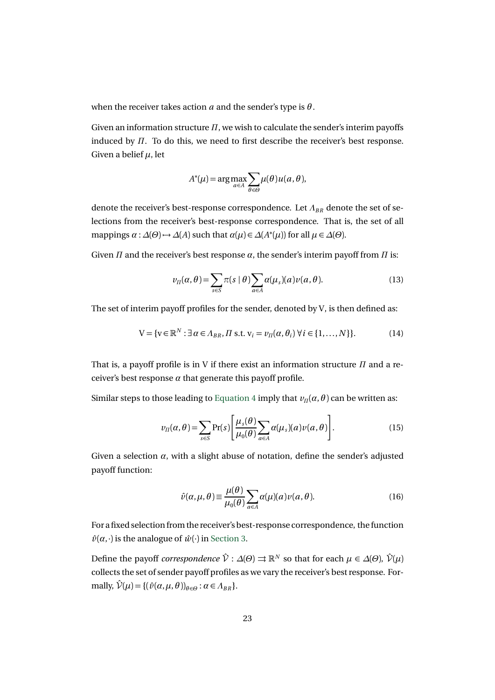when the receiver takes action *a* and the sender's type is *θ* .

Given an information structure *Π*, we wish to calculate the sender's interim payoffs induced by *Π*. To do this, we need to first describe the receiver's best response. Given a belief *µ*, let

$$
A^*(\mu) = \arg \max_{a \in A} \sum_{\theta \in \Theta} \mu(\theta) u(a, \theta),
$$

denote the receiver's best-response correspondence. Let  $Λ_{BR}$  denote the set of selections from the receiver's best-response correspondence. That is, the set of all  $\alpha : \Delta(\Theta) \rightarrow \Delta(A)$  such that  $\alpha(\mu) \in \Delta(A^*(\mu))$  for all  $\mu \in \Delta(\Theta)$ .

Given  $\Pi$  and the receiver's best response  $\alpha$ , the sender's interim payoff from  $\Pi$  is:

$$
\nu_{\Pi}(\alpha,\theta) = \sum_{s \in S} \pi(s \mid \theta) \sum_{a \in A} \alpha(\mu_s)(a) \nu(a,\theta). \tag{13}
$$

The set of interim payoff profiles for the sender, denoted by V, is then defined as:

$$
\mathbf{V} = \{ \mathbf{v} \in \mathbb{R}^N : \exists \, \alpha \in \Lambda_{BR}, \Pi \text{ s.t. } \mathbf{v}_i = v_\Pi(\alpha, \theta_i) \, \forall \, i \in \{1, \dots, N\} \}. \tag{14}
$$

That is, a payoff profile is in V if there exist an information structure *Π* and a receiver's best response  $\alpha$  that generate this payoff profile.

Similar steps to those leading to Equation 4 imply that  $v_\Pi(\alpha, \theta)$  can be written as:

$$
\nu_{\Pi}(\alpha,\theta) = \sum_{s \in S} \Pr(s) \left[ \frac{\mu_s(\theta)}{\mu_0(\theta)} \sum_{a \in A} \alpha(\mu_s)(a) \nu(a,\theta) \right]. \tag{15}
$$

Given a selection  $\alpha$ , with a slight abuse of notation, define the sender's adjusted payoff function:

$$
\hat{\nu}(\alpha,\mu,\theta) \equiv \frac{\mu(\theta)}{\mu_0(\theta)} \sum_{a \in A} \alpha(\mu)(a)\nu(a,\theta). \tag{16}
$$

For a fixed selection from the receiver's best-response correspondence, the function  $\hat{v}(\alpha, \cdot)$  is the analogue of  $\hat{w}(\cdot)$  in Section 3.

Define the payoff *correspondence*  $\hat{V}: \Delta(\Theta) \rightrightarrows \mathbb{R}^N$  so that for each  $\mu \in \Delta(\Theta)$ ,  $\hat{V}(\mu)$ collects the set of sender payoff profiles as we vary the receiver's best response. For $m$  mally,  $\hat{\mathcal{V}}(\mu) = \{(\hat{\nu}(\alpha, \mu, \theta))_{\theta \in \Theta} : \alpha \in A_{BR}\}.$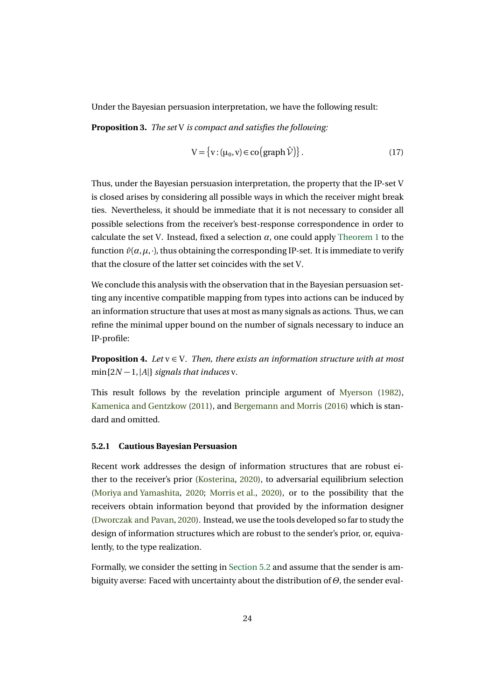Under the Bayesian persuasion interpretation, we have the following result:

**Proposition 3.** *The set* V *is compact and satisfies the following:*

$$
V = \{v : (\mu_0, v) \in \text{co}(\text{graph}\,\hat{\mathcal{V}})\}.
$$
 (17)

Thus, under the Bayesian persuasion interpretation, the property that the IP-set V is closed arises by considering all possible ways in which the receiver might break ties. Nevertheless, it should be immediate that it is not necessary to consider all possible selections from the receiver's best-response correspondence in order to calculate the set V. Instead, fixed a selection  $\alpha$ , one could apply Theorem 1 to the function  $\hat{v}(\alpha,\mu,\cdot)$ , thus obtaining the corresponding IP-set. It is immediate to verify that the closure of the latter set coincides with the set V.

We conclude this analysis with the observation that in the Bayesian persuasion setting any incentive compatible mapping from types into actions can be induced by an information structure that uses at most as many signals as actions. Thus, we can refine the minimal upper bound on the number of signals necessary to induce an IP-profile:

**Proposition 4.** *Let*  $v \in V$ *. Then, there exists an information structure with at most* min{2*N* −1,|*A*|} *signals that induces* v*.*

This result follows by the revelation principle argument of Myerson (1982), Kamenica and Gentzkow (2011), and Bergemann and Morris (2016) which is standard and omitted.

#### **5.2.1 Cautious Bayesian Persuasion**

Recent work addresses the design of information structures that are robust either to the receiver's prior (Kosterina, 2020), to adversarial equilibrium selection (Moriya and Yamashita, 2020; Morris et al., 2020), or to the possibility that the receivers obtain information beyond that provided by the information designer (Dworczak and Pavan, 2020). Instead, we use the tools developed so far to study the design of information structures which are robust to the sender's prior, or, equivalently, to the type realization.

Formally, we consider the setting in Section 5.2 and assume that the sender is ambiguity averse: Faced with uncertainty about the distribution of *Θ*, the sender eval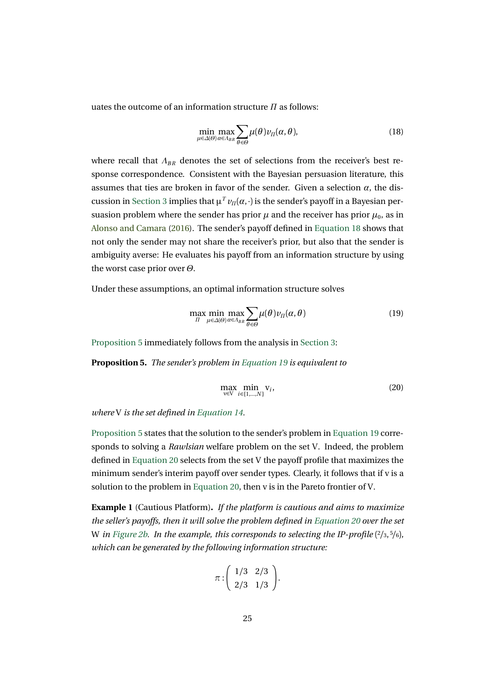uates the outcome of an information structure *Π* as follows:

$$
\min_{\mu \in \Delta(\Theta)} \max_{\alpha \in A_{BR}} \sum_{\theta \in \Theta} \mu(\theta) \nu_{\Pi}(\alpha, \theta), \tag{18}
$$

where recall that *ΛBR* denotes the set of selections from the receiver's best response correspondence. Consistent with the Bayesian persuasion literature, this assumes that ties are broken in favor of the sender. Given a selection  $\alpha$ , the discussion in Section 3 implies that  $\mu^T v_\Pi(\alpha, \cdot)$  is the sender's payoff in a Bayesian persuasion problem where the sender has prior  $\mu$  and the receiver has prior  $\mu_0$ , as in Alonso and Camara (2016). The sender's payoff defined in Equation 18 shows that not only the sender may not share the receiver's prior, but also that the sender is ambiguity averse: He evaluates his payoff from an information structure by using the worst case prior over *Θ*.

Under these assumptions, an optimal information structure solves

$$
\max_{\Pi} \min_{\mu \in \Delta(\Theta)} \max_{\alpha \in \Lambda_{BR}} \sum_{\theta \in \Theta} \mu(\theta) v_{\Pi}(\alpha, \theta) \tag{19}
$$

Proposition 5 immediately follows from the analysis in Section 3:

**Proposition 5.** *The sender's problem in Equation 19 is equivalent to*

$$
\max_{\mathbf{v}\in\mathbf{V}}\min_{i\in\{1,\dots,N\}}\mathbf{v}_i,\tag{20}
$$

*where* V *is the set defined in Equation 14.*

Proposition 5 states that the solution to the sender's problem in Equation 19 corresponds to solving a *Rawlsian* welfare problem on the set V. Indeed, the problem defined in Equation 20 selects from the set V the payoff profile that maximizes the minimum sender's interim payoff over sender types. Clearly, it follows that if v is a solution to the problem in Equation 20, then v is in the Pareto frontier of V.

**Example 1** (Cautious Platform)**.** *If the platform is cautious and aims to maximize the seller's payoffs, then it will solve the problem defined in Equation 20 over the set* W *in* Figure 2b. In the example, this corresponds to selecting the IP-profile  $(2/3, 5/6)$ *, which can be generated by the following information structure:*

$$
\pi:\left(\begin{array}{cc}1/3 & 2/3\\2/3 & 1/3\end{array}\right).
$$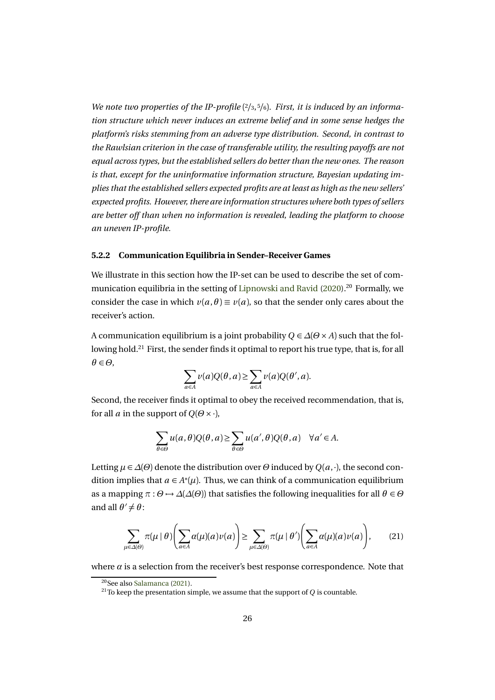*We note two properties of the IP-profile* (<sup>2</sup>*/*3, <sup>5</sup>*/*6)*. First, it is induced by an information structure which never induces an extreme belief and in some sense hedges the platform's risks stemming from an adverse type distribution. Second, in contrast to the Rawlsian criterion in the case of transferable utility, the resulting payoffs are not equal across types, but the established sellers do better than the new ones. The reason is that, except for the uninformative information structure, Bayesian updating implies that the established sellers expected profits are at least as high as the new sellers' expected profits. However, there are information structures where both types of sellers are better off than when no information is revealed, leading the platform to choose an uneven IP-profile.*

#### **5.2.2 Communication Equilibria in Sender–Receiver Games**

We illustrate in this section how the IP-set can be used to describe the set of communication equilibria in the setting of Lipnowski and Ravid  $(2020)$ <sup>20</sup> Formally, we consider the case in which  $v(a, \theta) \equiv v(a)$ , so that the sender only cares about the receiver's action.

A communication equilibrium is a joint probability *Q* ∈ *∆*(*Θ* × *A*) such that the following hold.<sup>21</sup> First, the sender finds it optimal to report his true type, that is, for all  $\theta \in \Theta$ ,  $\sum$ 

$$
\sum_{a \in A} \nu(a) Q(\theta, a) \ge \sum_{a \in A} \nu(a) Q(\theta', a).
$$

Second, the receiver finds it optimal to obey the received recommendation, that is, for all *a* in the support of  $Q(\Theta \times \cdot)$ ,

$$
\sum_{\theta \in \Theta} u(a,\theta) Q(\theta, a) \ge \sum_{\theta \in \Theta} u(a',\theta) Q(\theta, a) \quad \forall a' \in A.
$$

Letting  $\mu \in \Delta(\Theta)$  denote the distribution over  $\Theta$  induced by  $Q(a, \cdot)$ , the second condition implies that  $a \in A^*(\mu)$ . Thus, we can think of a communication equilibrium as a mapping  $\pi : \Theta \to \Delta(\Delta(\Theta))$  that satisfies the following inequalities for all  $\theta \in \Theta$ and all  $\theta' \neq \theta$ :

$$
\sum_{\mu \in \Delta(\Theta)} \pi(\mu \mid \theta) \Biggl( \sum_{a \in A} \alpha(\mu)(a) \nu(a) \Biggr) \ge \sum_{\mu \in \Delta(\Theta)} \pi(\mu \mid \theta') \Biggl( \sum_{a \in A} \alpha(\mu)(a) \nu(a) \Biggr), \tag{21}
$$

where  $\alpha$  is a selection from the receiver's best response correspondence. Note that

<sup>20</sup>See also Salamanca (2021).

 $21$ To keep the presentation simple, we assume that the support of  $Q$  is countable.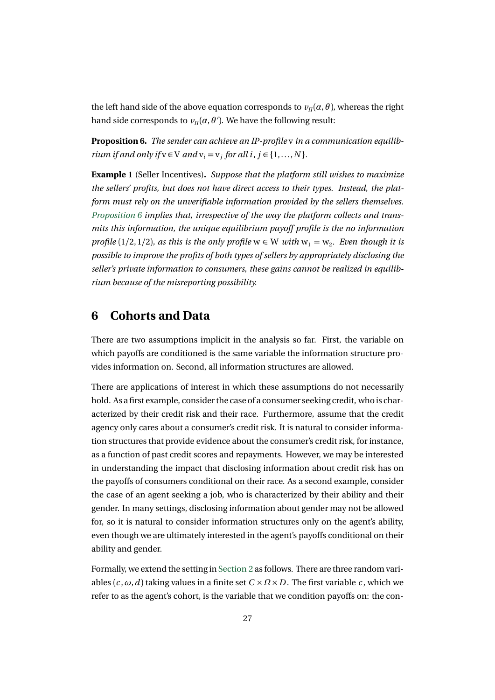the left hand side of the above equation corresponds to  $v_n(\alpha, \theta)$ , whereas the right hand side corresponds to  $v_{\scriptscriptstyle \it\Pi}(\alpha,\theta').$  We have the following result:

**Proposition 6.** *The sender can achieve an IP-profile* v *in a communication equilibrium if and only if*  $v \in V$  *and*  $v_i = v_j$  *for all i*,  $j \in \{1, ..., N\}$ *.* 

**Example 1** (Seller Incentives)**.** *Suppose that the platform still wishes to maximize the sellers' profits, but does not have direct access to their types. Instead, the platform must rely on the unverifiable information provided by the sellers themselves. Proposition 6 implies that, irrespective of the way the platform collects and transmits this information, the unique equilibrium payoff profile is the no information profile* (1/2, 1/2)*, as this is the only profile*  $w \in W$  *with*  $w_1 = w_2$ *. Even though it is possible to improve the profits of both types of sellers by appropriately disclosing the seller's private information to consumers, these gains cannot be realized in equilibrium because of the misreporting possibility.*

## **6 Cohorts and Data**

There are two assumptions implicit in the analysis so far. First, the variable on which payoffs are conditioned is the same variable the information structure provides information on. Second, all information structures are allowed.

There are applications of interest in which these assumptions do not necessarily hold. As a first example, consider the case of a consumer seeking credit, who is characterized by their credit risk and their race. Furthermore, assume that the credit agency only cares about a consumer's credit risk. It is natural to consider information structures that provide evidence about the consumer's credit risk, for instance, as a function of past credit scores and repayments. However, we may be interested in understanding the impact that disclosing information about credit risk has on the payoffs of consumers conditional on their race. As a second example, consider the case of an agent seeking a job, who is characterized by their ability and their gender. In many settings, disclosing information about gender may not be allowed for, so it is natural to consider information structures only on the agent's ability, even though we are ultimately interested in the agent's payoffs conditional on their ability and gender.

Formally, we extend the setting in Section 2 as follows. There are three random variables  $(c, \omega, d)$  taking values in a finite set  $C \times Q \times D$ . The first variable *c*, which we refer to as the agent's cohort, is the variable that we condition payoffs on: the con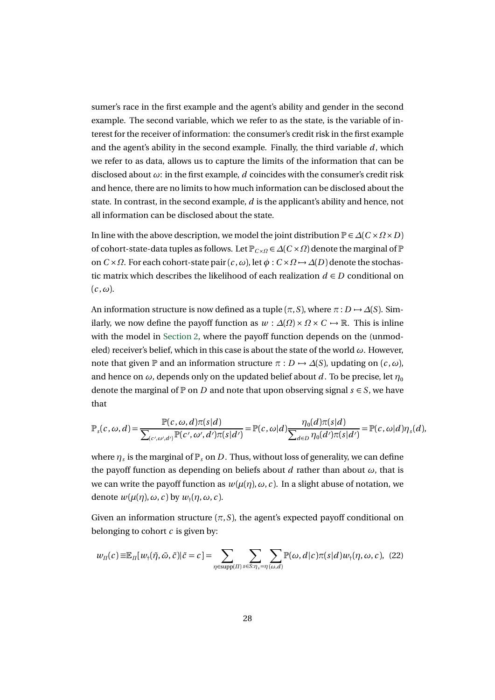sumer's race in the first example and the agent's ability and gender in the second example. The second variable, which we refer to as the state, is the variable of interest for the receiver of information: the consumer's credit risk in the first example and the agent's ability in the second example. Finally, the third variable  $d$ , which we refer to as data, allows us to capture the limits of the information that can be disclosed about *ω*: in the first example, *d* coincides with the consumer's credit risk and hence, there are no limits to how much information can be disclosed about the state. In contrast, in the second example, *d* is the applicant's ability and hence, not all information can be disclosed about the state.

In line with the above description, we model the joint distribution  $\mathbb{P} \in \Delta(C \times \Omega \times D)$ of cohort-state-data tuples as follows. Let  $\mathbb{P}_{C\times\Omega} \in \Delta(C\times\Omega)$  denote the marginal of  $\mathbb P$ on  $C \times \Omega$ . For each cohort-state pair  $(c, \omega)$ , let  $\phi : C \times \Omega \rightarrow \Delta(D)$  denote the stochastic matrix which describes the likelihood of each realization  $d \in D$  conditional on  $(c, \omega)$ .

An information structure is now defined as a tuple  $(\pi, S)$ , where  $\pi : D \rightarrow \Delta(S)$ . Similarly, we now define the payoff function as  $w : \Delta(\Omega) \times \Omega \times C \rightarrow \mathbb{R}$ . This is inline with the model in Section 2, where the payoff function depends on the (unmodeled) receiver's belief, which in this case is about the state of the world *ω*. However, note that given  $\mathbb P$  and an information structure  $\pi : D \to \Delta(S)$ , updating on  $(c, \omega)$ , and hence on  $\omega$ , depends only on the updated belief about *d*. To be precise, let  $\eta_0$ denote the marginal of  $\mathbb P$  on *D* and note that upon observing signal  $s \in S$ , we have that

$$
\mathbb{P}_s(c,\omega,d) = \frac{\mathbb{P}(c,\omega,d)\pi(s|d)}{\sum_{(c',\omega',d')}\mathbb{P}(c',\omega',d')\pi(s|d')} = \mathbb{P}(c,\omega|d)\frac{\eta_0(d)\pi(s|d)}{\sum_{d\in D}\eta_0(d')\pi(s|d')} = \mathbb{P}(c,\omega|d)\eta_s(d),
$$

where  $\eta_s$  is the marginal of  $\mathbb{P}_s$  on *D*. Thus, without loss of generality, we can define the payoff function as depending on beliefs about *d* rather than about *ω*, that is we can write the payoff function as  $w(\mu(\eta), \omega, c)$ . In a slight abuse of notation, we denote  $w(\mu(\eta), \omega, c)$  by  $w_+(\eta, \omega, c)$ .

Given an information structure  $(\pi, S)$ , the agent's expected payoff conditional on belonging to cohort *c* is given by:

$$
w_{\Pi}(c) \equiv \mathbb{E}_{\Pi}[w_{\dagger}(\tilde{\eta}, \tilde{\omega}, \tilde{c}) | \tilde{c} = c] = \sum_{\eta \in \text{supp}(\Pi)} \sum_{s \in S: \eta_s = \eta(\omega, d)} \mathbb{P}(\omega, d | c) \pi(s | d) w_{\dagger}(\eta, \omega, c), \tag{22}
$$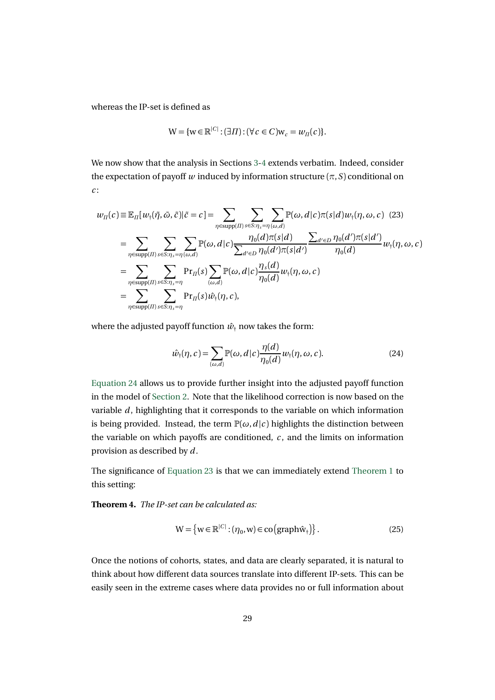whereas the IP-set is defined as

$$
\mathsf{W} = \{ \mathsf{w} \in \mathbb{R}^{|C|} : (\exists \Pi) : (\forall c \in C) \mathsf{w}_c = w_{\Pi}(c) \}.
$$

We now show that the analysis in Sections 3-4 extends verbatim. Indeed, consider the expectation of payoff *w* induced by information structure  $(\pi, S)$  conditional on *c* :

$$
w_{\Pi}(c) \equiv \mathbb{E}_{\Pi}[w_{\uparrow}(\tilde{\eta},\tilde{\omega},\tilde{c})|\tilde{c}=c] = \sum_{\eta \in \text{supp}(\Pi)} \sum_{s \in S: \eta_{s}=\eta(\omega,d)} \mathbb{P}(\omega,d|c) \pi(s|d) w_{\uparrow}(\eta,\omega,c) (23)
$$
  
\n
$$
= \sum_{\eta \in \text{supp}(\Pi)} \sum_{s \in S: \eta_{s}=\eta} \sum_{(\omega,d)} \mathbb{P}(\omega,d|c) \frac{\eta_{0}(d)\pi(s|d)}{\sum_{d' \in D} \eta_{0}(d')\pi(s|d')} \frac{\sum_{d' \in D} \eta_{0}(d')\pi(s|d')}{\eta_{0}(d)} w_{\uparrow}(\eta,\omega,c)
$$
  
\n
$$
= \sum_{\eta \in \text{supp}(\Pi)} \sum_{s \in S: \eta_{s}=\eta} \Pr_{\Pi}(s) \sum_{(\omega,d)} \mathbb{P}(\omega,d|c) \frac{\eta_{s}(d)}{\eta_{0}(d)} w_{\uparrow}(\eta,\omega,c)
$$
  
\n
$$
= \sum_{\eta \in \text{supp}(\Pi)} \sum_{s \in S: \eta_{s}=\eta} \Pr_{\Pi}(s) \hat{w}_{\uparrow}(\eta,c),
$$

where the adjusted payoff function  $\hat{w}_+$  now takes the form:

$$
\hat{w}_{\dagger}(\eta, c) = \sum_{(\omega, d)} \mathbb{P}(\omega, d | c) \frac{\eta(d)}{\eta_0(d)} w_{\dagger}(\eta, \omega, c).
$$
 (24)

Equation 24 allows us to provide further insight into the adjusted payoff function in the model of Section 2. Note that the likelihood correction is now based on the variable  $d$ , highlighting that it corresponds to the variable on which information is being provided. Instead, the term  $\mathbb{P}(\omega, d | c)$  highlights the distinction between the variable on which payoffs are conditioned,  $c$ , and the limits on information provision as described by *d* .

The significance of Equation 23 is that we can immediately extend Theorem 1 to this setting:

**Theorem 4.** *The IP-set can be calculated as:*

$$
W = \{ w \in \mathbb{R}^{|C|} : (\eta_0, w) \in \text{co} \left( \text{graph} \hat{w}_1 \right) \}. \tag{25}
$$

Once the notions of cohorts, states, and data are clearly separated, it is natural to think about how different data sources translate into different IP-sets. This can be easily seen in the extreme cases where data provides no or full information about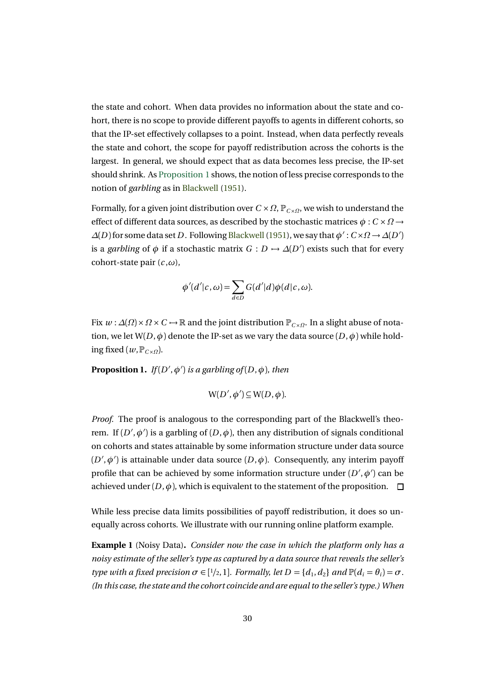the state and cohort. When data provides no information about the state and cohort, there is no scope to provide different payoffs to agents in different cohorts, so that the IP-set effectively collapses to a point. Instead, when data perfectly reveals the state and cohort, the scope for payoff redistribution across the cohorts is the largest. In general, we should expect that as data becomes less precise, the IP-set should shrink. As Proposition 1 shows, the notion of less precise corresponds to the notion of *garbling* as in Blackwell (1951).

Formally, for a given joint distribution over  $C \times \Omega$ ,  $P_{C \times \Omega}$ , we wish to understand the effect of different data sources, as described by the stochastic matrices  $\phi : C \times \Omega \rightarrow$  $\Delta(D)$  for some data set *D* . Following Blackwell (1951), we say that  $\phi' : C \times \Omega \to \Delta(D')$ is a *garbling* of  $\phi$  if a stochastic matrix  $G: D \mapsto \Delta(D')$  exists such that for every cohort-state pair  $(c, \omega)$ ,

$$
\phi'(d'|c,\omega) = \sum_{d \in D} G(d'|d)\phi(d|c,\omega).
$$

Fix  $w$  :  $\Delta(\Omega) \times \Omega \times C$  →  $\mathbb R$  and the joint distribution  $\mathbb P_{C \times \Omega}$ . In a slight abuse of notation, we let  $W(D, \phi)$  denote the IP-set as we vary the data source  $(D, \phi)$  while holding fixed ( $w$ ,  $P_{C \times Q}$ ).

**Proposition 1.** *If*( $D'$ , $\phi'$ ) *is a garbling of*( $D$ , $\phi$ )*, then* 

$$
W(D',\phi')\subseteq W(D,\phi).
$$

*Proof.* The proof is analogous to the corresponding part of the Blackwell's theorem. If  $(D', \phi')$  is a garbling of  $(D, \phi)$ , then any distribution of signals conditional on cohorts and states attainable by some information structure under data source  $(D',\phi')$  is attainable under data source  $(D,\phi)$ . Consequently, any interim payoff profile that can be achieved by some information structure under  $(D',\phi')$  can be achieved under  $(D, \phi)$ , which is equivalent to the statement of the proposition.  $\Box$ 

While less precise data limits possibilities of payoff redistribution, it does so unequally across cohorts. We illustrate with our running online platform example.

**Example 1** (Noisy Data)**.** *Consider now the case in which the platform only has a noisy estimate of the seller's type as captured by a data source that reveals the seller's type with a fixed precision*  $\sigma \in [1/2, 1]$ *. Formally, let*  $D = \{d_1, d_2\}$  *and*  $\mathbb{P}(d_i = \theta_i) = \sigma$ *. (In this case, the state and the cohort coincide and are equal to the seller's type.) When*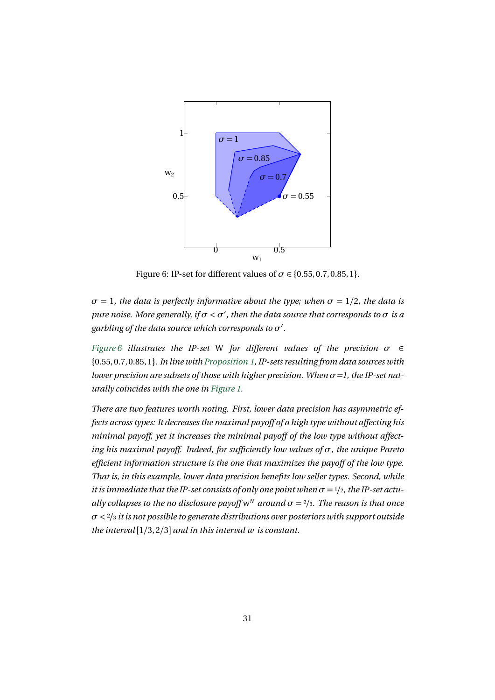

Figure 6: IP-set for different values of  $\sigma \in \{0.55, 0.7, 0.85, 1\}.$ 

 $\sigma = 1$ *, the data is perfectly informative about the type; when*  $\sigma = 1/2$ *, the data is pure noise. More generally, if*  $\sigma < \sigma'$ *, then the data source that corresponds to*  $\sigma$  *is a* garbling of the data source which corresponds to  $\sigma'$ .

*Figure 6 illustrates the IP-set* W *for different values of the precision σ* ∈ {0.55, 0.7, 0.85, 1}*. In line with Proposition 1, IP-sets resulting from data sources with lower precision are subsets of those with higher precision. When*  $\sigma = I$ , the IP-set nat*urally coincides with the one in Figure 1.*

*There are two features worth noting. First, lower data precision has asymmetric effects across types: It decreases the maximal payoff of a high type without affecting his minimal payoff, yet it increases the minimal payoff of the low type without affecting his maximal payoff. Indeed, for sufficiently low values of σ, the unique Pareto efficient information structure is the one that maximizes the payoff of the low type. That is, in this example, lower data precision benefits low seller types. Second, while it is immediate that the IP-set consists of only one point when*  $\sigma = \frac{1}{2}$ *, the IP-set actually collapses to the no disclosure payoff*  $w^N$  *around*  $\sigma = \frac{2}{3}$ *. The reason is that once σ <* <sup>2</sup>*/*<sup>3</sup> *it is not possible to generate distributions over posteriors with support outside the interval* [1*/*3, 2*/*3] *and in this interval w is constant.*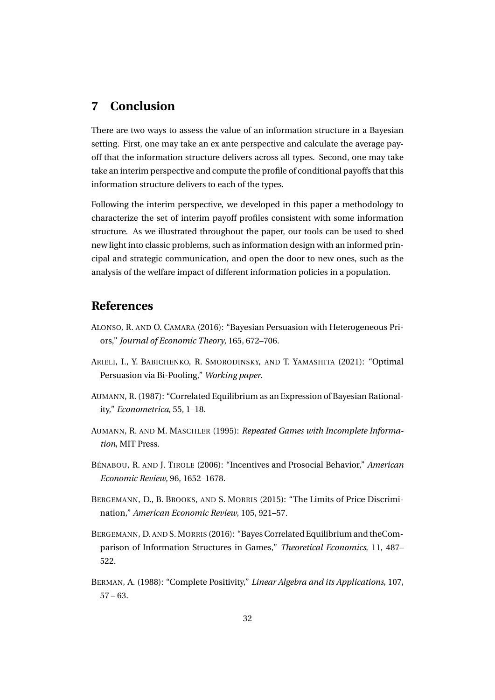### **7 Conclusion**

There are two ways to assess the value of an information structure in a Bayesian setting. First, one may take an ex ante perspective and calculate the average payoff that the information structure delivers across all types. Second, one may take take an interim perspective and compute the profile of conditional payoffs that this information structure delivers to each of the types.

Following the interim perspective, we developed in this paper a methodology to characterize the set of interim payoff profiles consistent with some information structure. As we illustrated throughout the paper, our tools can be used to shed new light into classic problems, such as information design with an informed principal and strategic communication, and open the door to new ones, such as the analysis of the welfare impact of different information policies in a population.

## **References**

- ALONSO, R. AND O. CAMARA (2016): "Bayesian Persuasion with Heterogeneous Priors," *Journal of Economic Theory*, 165, 672–706.
- ARIELI, I., Y. BABICHENKO, R. SMORODINSKY, AND T. YAMASHITA (2021): "Optimal Persuasion via Bi-Pooling," *Working paper*.
- AUMANN, R. (1987): "Correlated Equilibrium as an Expression of Bayesian Rationality," *Econometrica*, 55, 1–18.
- AUMANN, R. AND M. MASCHLER (1995): *Repeated Games with Incomplete Information*, MIT Press.
- BÉNABOU, R. AND J. TIROLE (2006): "Incentives and Prosocial Behavior," *American Economic Review*, 96, 1652–1678.
- BERGEMANN, D., B. BROOKS, AND S. MORRIS (2015): "The Limits of Price Discrimination," *American Economic Review*, 105, 921–57.
- BERGEMANN, D. AND S. MORRIS (2016): "Bayes Correlated Equilibrium and theComparison of Information Structures in Games," *Theoretical Economics*, 11, 487– 522.
- BERMAN, A. (1988): "Complete Positivity," *Linear Algebra and its Applications*, 107,  $57 - 63.$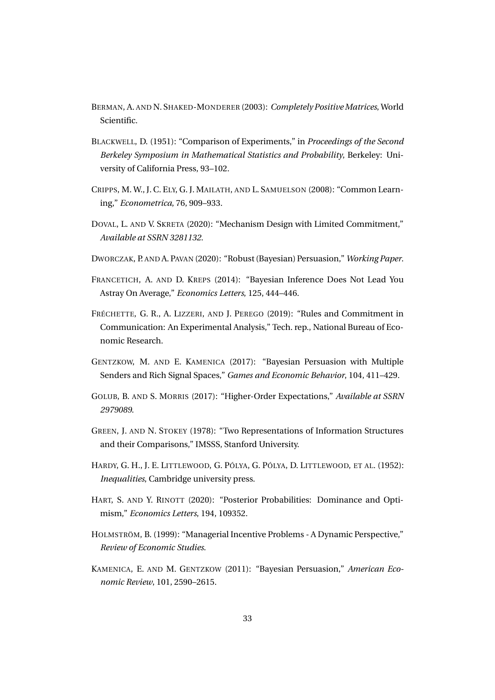- BERMAN, A. AND N. SHAKED-MONDERER (2003): *Completely Positive Matrices*, World Scientific.
- BLACKWELL, D. (1951): "Comparison of Experiments," in *Proceedings of the Second Berkeley Symposium in Mathematical Statistics and Probability*, Berkeley: University of California Press, 93–102.
- CRIPPS, M. W., J. C. ELY, G. J. MAILATH, AND L. SAMUELSON (2008): "Common Learning," *Econometrica*, 76, 909–933.
- DOVAL, L. AND V. SKRETA (2020): "Mechanism Design with Limited Commitment," *Available at SSRN 3281132*.
- DWORCZAK, P. AND A. PAVAN (2020): "Robust (Bayesian) Persuasion," *Working Paper*.
- FRANCETICH, A. AND D. KREPS (2014): "Bayesian Inference Does Not Lead You Astray On Average," *Economics Letters*, 125, 444–446.
- FRÉCHETTE, G. R., A. LIZZERI, AND J. PEREGO (2019): "Rules and Commitment in Communication: An Experimental Analysis," Tech. rep., National Bureau of Economic Research.
- GENTZKOW, M. AND E. KAMENICA (2017): "Bayesian Persuasion with Multiple Senders and Rich Signal Spaces," *Games and Economic Behavior*, 104, 411–429.
- GOLUB, B. AND S. MORRIS (2017): "Higher-Order Expectations," *Available at SSRN 2979089*.
- GREEN, J. AND N. STOKEY (1978): "Two Representations of Information Structures and their Comparisons," IMSSS, Stanford University.
- HARDY, G. H., J. E. LITTLEWOOD, G. PÓLYA, G. PÓLYA, D. LITTLEWOOD, ET AL. (1952): *Inequalities*, Cambridge university press.
- HART, S. AND Y. RINOTT (2020): "Posterior Probabilities: Dominance and Optimism," *Economics Letters*, 194, 109352.
- HOLMSTRÖM, B. (1999): "Managerial Incentive Problems A Dynamic Perspective," *Review of Economic Studies*.
- KAMENICA, E. AND M. GENTZKOW (2011): "Bayesian Persuasion," *American Economic Review*, 101, 2590–2615.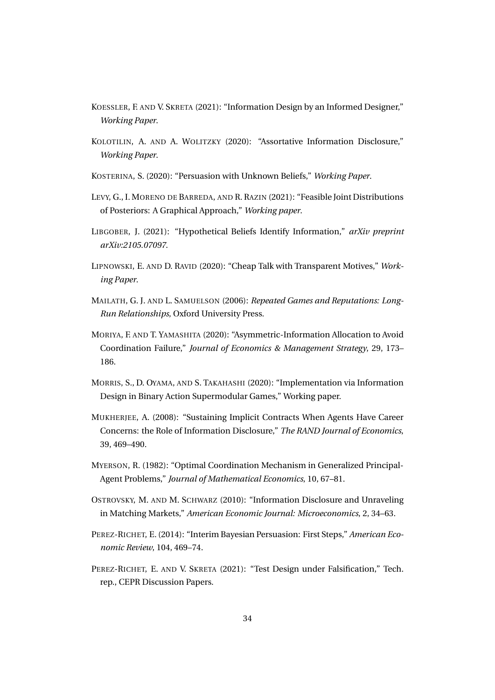- KOESSLER, F. AND V. SKRETA (2021): "Information Design by an Informed Designer," *Working Paper*.
- KOLOTILIN, A. AND A. WOLITZKY (2020): "Assortative Information Disclosure," *Working Paper*.
- KOSTERINA, S. (2020): "Persuasion with Unknown Beliefs," *Working Paper*.
- LEVY, G., I. MORENO DE BARREDA, AND R. RAZIN (2021): "Feasible Joint Distributions of Posteriors: A Graphical Approach," *Working paper*.
- LIBGOBER, J. (2021): "Hypothetical Beliefs Identify Information," *arXiv preprint arXiv:2105.07097*.
- LIPNOWSKI, E. AND D. RAVID (2020): "Cheap Talk with Transparent Motives," *Working Paper*.
- MAILATH, G. J. AND L. SAMUELSON (2006): *Repeated Games and Reputations: Long-Run Relationships*, Oxford University Press.
- MORIYA, F. AND T. YAMASHITA (2020): "Asymmetric-Information Allocation to Avoid Coordination Failure," *Journal of Economics & Management Strategy*, 29, 173– 186.
- MORRIS, S., D. OYAMA, AND S. TAKAHASHI (2020): "Implementation via Information Design in Binary Action Supermodular Games," Working paper.
- MUKHERJEE, A. (2008): "Sustaining Implicit Contracts When Agents Have Career Concerns: the Role of Information Disclosure," *The RAND Journal of Economics*, 39, 469–490.
- MYERSON, R. (1982): "Optimal Coordination Mechanism in Generalized Principal-Agent Problems," *Journal of Mathematical Economics*, 10, 67–81.
- OSTROVSKY, M. AND M. SCHWARZ (2010): "Information Disclosure and Unraveling in Matching Markets," *American Economic Journal: Microeconomics*, 2, 34–63.
- PEREZ-RICHET, E. (2014): "Interim Bayesian Persuasion: First Steps," *American Economic Review*, 104, 469–74.
- PEREZ-RICHET, E. AND V. SKRETA (2021): "Test Design under Falsification," Tech. rep., CEPR Discussion Papers.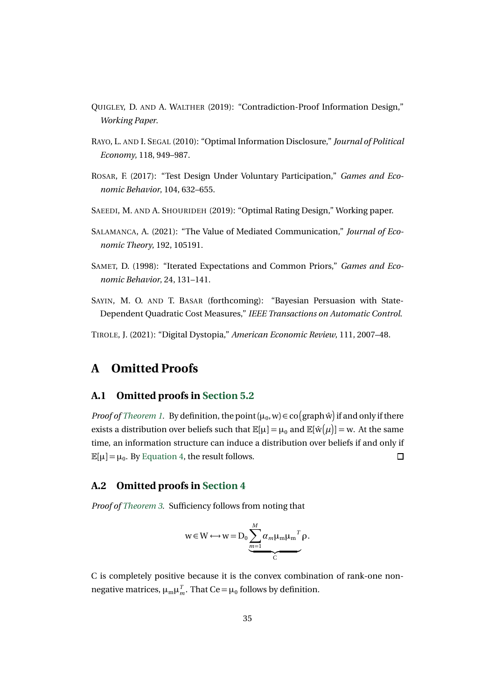- QUIGLEY, D. AND A. WALTHER (2019): "Contradiction-Proof Information Design," *Working Paper*.
- RAYO, L. AND I. SEGAL (2010): "Optimal Information Disclosure," *Journal of Political Economy*, 118, 949–987.
- ROSAR, F. (2017): "Test Design Under Voluntary Participation," *Games and Economic Behavior*, 104, 632–655.
- SAEEDI, M. AND A. SHOURIDEH (2019): "Optimal Rating Design," Working paper.
- SALAMANCA, A. (2021): "The Value of Mediated Communication," *Journal of Economic Theory*, 192, 105191.
- SAMET, D. (1998): "Iterated Expectations and Common Priors," *Games and Economic Behavior*, 24, 131–141.
- SAYIN, M. O. AND T. BASAR (forthcoming): "Bayesian Persuasion with State-Dependent Quadratic Cost Measures," *IEEE Transactions on Automatic Control*.

TIROLE, J. (2021): "Digital Dystopia," *American Economic Review*, 111, 2007–48.

## **A Omitted Proofs**

### **A.1 Omitted proofs in Section 5.2**

*Proof of Theorem 1.* By definition, the point  $(\mu_0, w) \in \text{co}(\text{graph } \hat{w})$  if and only if there exists a distribution over beliefs such that  $\mathbb{E}[\mu] = \mu_0$  and  $\mathbb{E}[\hat{w}(\mu)] = w$ . At the same time, an information structure can induce a distribution over beliefs if and only if  $\mathbb{E}[\mu] = \mu_0$ . By Equation 4, the result follows.  $\Box$ 

### **A.2 Omitted proofs in Section 4**

*Proof of Theorem 3.* Sufficiency follows from noting that

$$
w \in W \longleftrightarrow w = D_0 \underbrace{\sum_{m=1}^{M} \alpha_m \mu_m \mu_m^T}_{C} \rho.
$$

C is completely positive because it is the convex combination of rank-one nonnegative matrices,  $\mu_m \mu_m^T$ . That Ce =  $\mu_0$  follows by definition.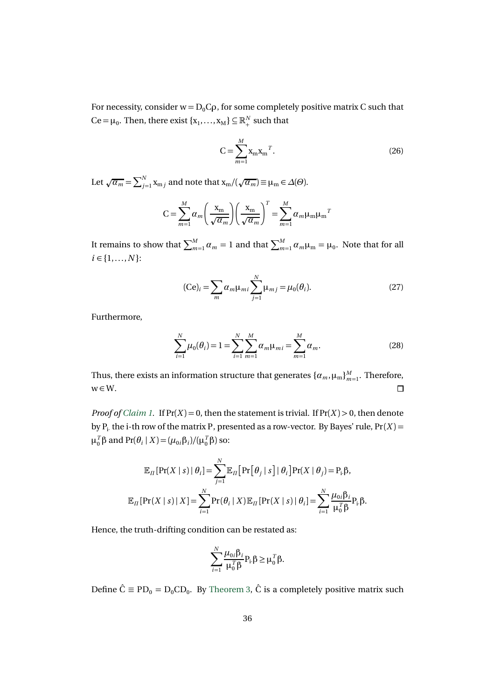For necessity, consider  $w = D_0C\rho$ , for some completely positive matrix C such that  $\text{Ce} = \mu_0$ . Then, there exist { $x_1, ..., x_M$ }  $\subseteq \mathbb{R}^N_+$  such that

$$
C = \sum_{m=1}^{M} x_m x_m^T.
$$
 (26)

Let  $\sqrt{\alpha_m} = \sum_{j=1}^N \mathbf{x}_{m j}$  and note that  $\mathbf{x}_m / (\sqrt{\alpha_m}) \equiv \mu_m \in \Delta(\Theta)$ .

$$
C = \sum_{m=1}^{M} \alpha_m \left(\frac{x_m}{\sqrt{\alpha_m}}\right) \left(\frac{x_m}{\sqrt{\alpha_m}}\right)^T = \sum_{m=1}^{M} \alpha_m \mu_m \mu_m^T
$$

It remains to show that  $\sum_{m=1}^{M} \alpha_m = 1$  and that  $\sum_{m=1}^{M} \alpha_m \mu_m = \mu_0$ . Note that for all  $i \in \{1, ..., N\}$ :

$$
(\text{Ce})_i = \sum_{m} \alpha_m \mu_{mi} \sum_{j=1}^{N} \mu_{mj} = \mu_0(\theta_i). \tag{27}
$$

Furthermore,

$$
\sum_{i=1}^{N} \mu_0(\theta_i) = 1 = \sum_{i=1}^{N} \sum_{m=1}^{M} \alpha_m \mu_{mi} = \sum_{m=1}^{M} \alpha_m.
$$
 (28)

Thus, there exists an information structure that generates  $\{\alpha_m, \mu_m\}_{m=1}^M$ . Therefore,  $w \in W$ .  $\Box$ 

*Proof of Claim 1.* If  $Pr(X) = 0$ , then the statement is trivial. If  $Pr(X) > 0$ , then denote by  $P_i$  the i-th row of the matrix P, presented as a row-vector. By Bayes' rule,  $Pr(X)$  =  $μ_0^Tβ$  and  $Pr(θ_i | X) = (μ_{0i}β_i)/(μ_0^Tβ)$  so:

$$
\mathbb{E}_{\Pi}[\Pr(X \mid s) | \theta_i] = \sum_{j=1}^{N} \mathbb{E}_{\Pi}[\Pr[\theta_j \mid s] | \theta_i] \Pr(X \mid \theta_j) = P_i \beta,
$$
  

$$
\mathbb{E}_{\Pi}[\Pr(X \mid s) | X] = \sum_{i=1}^{N} \Pr(\theta_i \mid X) \mathbb{E}_{\Pi}[\Pr(X \mid s) | \theta_i] = \sum_{i=1}^{N} \frac{\mu_{0i} \beta_i}{\mu_0^T \beta} P_i \beta.
$$

Hence, the truth-drifting condition can be restated as:

$$
\sum_{i=1}^N \frac{\mu_{0i}\beta_i}{\mu_0^T \beta} P_i \beta \ge \mu_0^T \beta.
$$

Define  $\hat{C} \equiv PD_0 = D_0CD_0$ . By Theorem 3,  $\hat{C}$  is a completely positive matrix such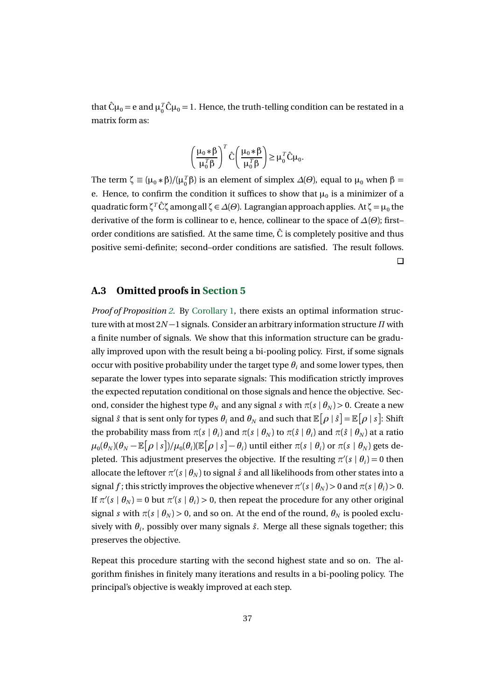that  $\hat{C}\mu_0 = e$  and  $\mu_0^T \hat{C}\mu_0 = 1$ . Hence, the truth-telling condition can be restated in a matrix form as:

$$
\left(\frac{\mu_0 * \beta}{\mu_0^T \beta}\right)^T \hat{C} \left(\frac{\mu_0 * \beta}{\mu_0^T \beta}\right) \ge \mu_0^T \hat{C} \mu_0.
$$

The term  $\zeta \equiv (\mu_0 * \beta) / (\mu_0^T \beta)$  is an element of simplex  $\Delta(\Theta)$ , equal to  $\mu_0$  when  $\beta =$ e. Hence, to confirm the condition it suffices to show that  $\mu_0$  is a minimizer of a quadratic form*ζ<sup>T</sup>* Cˆ *<sup>ζ</sup>* among all *<sup>ζ</sup>* <sup>∈</sup> *<sup>∆</sup>*(*Θ*). Lagrangian approach applies. At *<sup>ζ</sup>* <sup>=</sup> *<sup>µ</sup>*<sup>0</sup> the derivative of the form is collinear to e, hence, collinear to the space of *∆*(*Θ*); first– order conditions are satisfied. At the same time,  $\hat{C}$  is completely positive and thus positive semi-definite; second–order conditions are satisfied. The result follows.  $\Box$ 

#### **A.3 Omitted proofs in Section 5**

*Proof of Proposition 2.* By Corollary 1, there exists an optimal information structure with at most 2*N* −1 signals. Consider an arbitrary information structure *Π* with a finite number of signals. We show that this information structure can be gradually improved upon with the result being a bi-pooling policy. First, if some signals occur with positive probability under the target type  $\theta_i$  and some lower types, then separate the lower types into separate signals: This modification strictly improves the expected reputation conditional on those signals and hence the objective. Second, consider the highest type  $\theta_N$  and any signal *s* with  $\pi(s | \theta_N) > 0$ . Create a new signal  $\hat{s}$  that is sent only for types  $\theta_i$  and  $\theta_N$  and such that  $\mathbb{E}[\rho | \hat{s}] = \mathbb{E}[\rho | s]$ : Shift the probability mass from  $\pi(s | \theta_i)$  and  $\pi(s | \theta_N)$  to  $\pi(\hat{s} | \theta_i)$  and  $\pi(\hat{s} | \theta_N)$  at a ratio  $\mu_0(\theta_N)(\theta_N-\mathbb{E}\big[\rho\mid s\big])/\mu_0(\theta_i)(\mathbb{E}\big[\rho\mid s\big]-\theta_i)$  until either  $\pi(s\mid\theta_i)$  or  $\pi(s\mid\theta_N)$  gets depleted. This adjustment preserves the objective. If the resulting  $\pi'(s | \theta_i) = 0$  then allocate the leftover  $\pi$ '( $s \mid \theta_N$ ) to signal  $\hat{s}$  and all likelihoods from other states into a signal *f*; this strictly improves the objective whenever  $\pi'(s | \theta_N) > 0$  and  $\pi(s | \theta_i) > 0$ . If  $\pi$ '( $s | \theta_N$ ) = 0 but  $\pi$ '( $s | \theta_i$ ) > 0, then repeat the procedure for any other original signal *s* with  $\pi(s | \theta_N) > 0$ , and so on. At the end of the round,  $\theta_N$  is pooled exclusively with  $\theta_i$ , possibly over many signals  $\hat{s}$ . Merge all these signals together; this preserves the objective.

Repeat this procedure starting with the second highest state and so on. The algorithm finishes in finitely many iterations and results in a bi-pooling policy. The principal's objective is weakly improved at each step.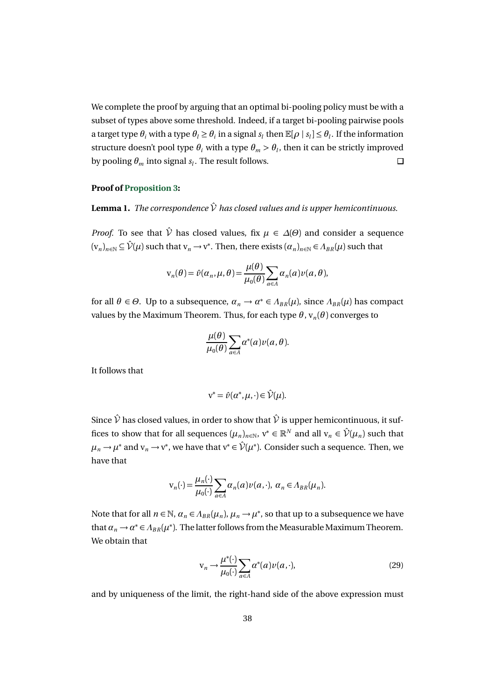We complete the proof by arguing that an optimal bi-pooling policy must be with a subset of types above some threshold. Indeed, if a target bi-pooling pairwise pools a target type  $\theta_i$  with a type  $\theta_i \geq \theta_i$  in a signal  $s_i$  then  $\mathbb{E}[\rho | s_i] \leq \theta_i$ . If the information structure doesn't pool type  $\theta_i$  with a type  $\theta_m > \theta_l$ , then it can be strictly improved by pooling  $\theta_m$  into signal  $s_l$ . The result follows.  $\Box$ 

#### **Proof of Proposition 3:**

### **Lemma 1.** *The correspondence*  $\hat{V}$  *has closed values and is upper hemicontinuous.*

*Proof.* To see that  $\hat{V}$  has closed values, fix  $\mu \in \Delta(\Theta)$  and consider a sequence  $(v_n)_{n\in\mathbb{N}}\subseteq \hat{\mathcal{V}}(\mu)$  such that  $v_n\to v^*$ . Then, there exists  $(\alpha_n)_{n\in\mathbb{N}}\in A_{BR}(\mu)$  such that

$$
\mathbf{v}_n(\theta) = \hat{\nu}(\alpha_n, \mu, \theta) = \frac{\mu(\theta)}{\mu_0(\theta)} \sum_{a \in A} \alpha_n(a) \nu(a, \theta),
$$

for all  $\theta \in \Theta$ . Up to a subsequence,  $\alpha_n \to \alpha^* \in \Lambda_{BR}(\mu)$ , since  $\Lambda_{BR}(\mu)$  has compact values by the Maximum Theorem. Thus, for each type  $\theta$ ,  $v_n(\theta)$  converges to

$$
\frac{\mu(\theta)}{\mu_0(\theta)}\sum_{a\in A}\alpha^*(a)\nu(a,\theta).
$$

It follows that

$$
v^* = \hat{\nu}(\alpha^*, \mu, \cdot) \in \hat{\mathcal{V}}(\mu).
$$

Since  $\hat{V}$  has closed values, in order to show that  $\hat{V}$  is upper hemicontinuous, it suffices to show that for all sequences  $(\mu_n)_{n \in \mathbb{N}}$ ,  $v^* \in \mathbb{R}^N$  and all  $v_n \in \hat{\mathcal{V}}(\mu_n)$  such that  $\mu_n \to \mu^*$  and  $v_n \to v^*$ , we have that  $v^* \in \hat{\mathcal{V}}(\mu^*)$ . Consider such a sequence. Then, we have that

$$
\mathbf{v}_n(\cdot) = \frac{\mu_n(\cdot)}{\mu_0(\cdot)} \sum_{a \in A} \alpha_n(a) \nu(a, \cdot), \ \alpha_n \in \Lambda_{BR}(\mu_n).
$$

Note that for all  $n \in \mathbb{N}$ ,  $\alpha_n \in A_{BR}(\mu_n)$ ,  $\mu_n \to \mu^*$ , so that up to a subsequence we have that  $a_n \to a^* \in A_{BR}(\mu^*)$ . The latter follows from the Measurable Maximum Theorem. We obtain that

$$
\mathbf{v}_n \to \frac{\mu^*(\cdot)}{\mu_0(\cdot)} \sum_{a \in A} \alpha^*(a) \nu(a, \cdot),\tag{29}
$$

and by uniqueness of the limit, the right-hand side of the above expression must